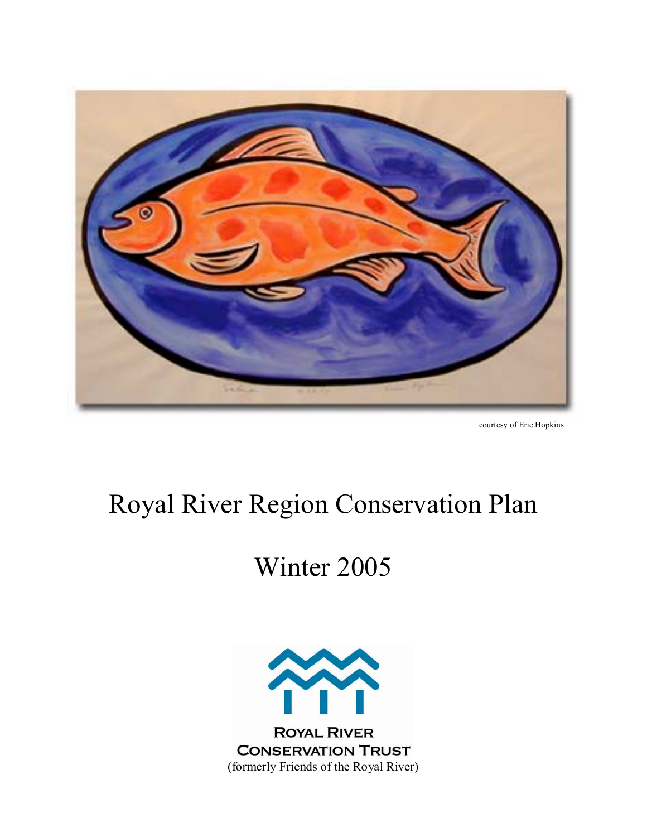

courtesy of Eric Hopkins

# Royal River Region Conservation Plan

# Winter 2005

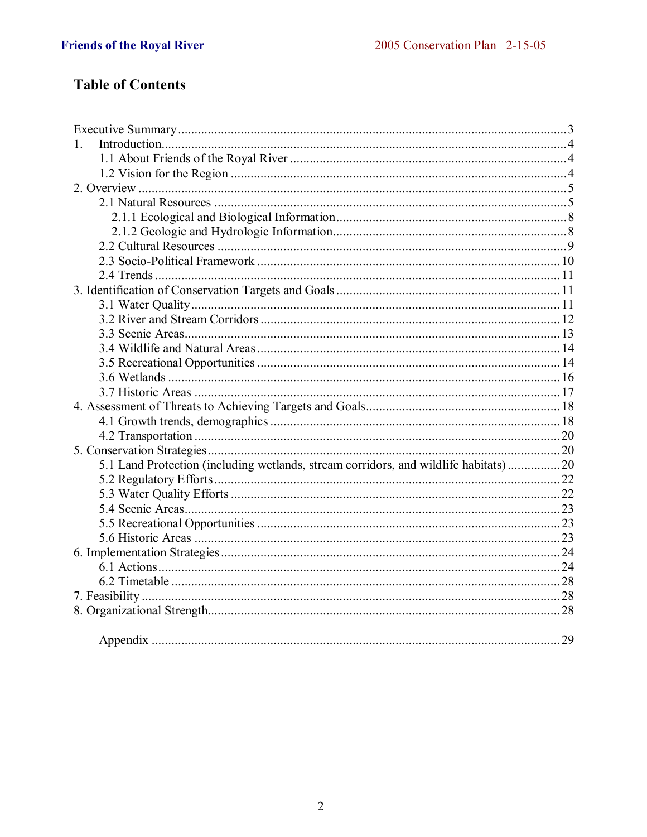# **Table of Contents**

| $1_{\cdot}$                                                                          |  |
|--------------------------------------------------------------------------------------|--|
|                                                                                      |  |
|                                                                                      |  |
|                                                                                      |  |
|                                                                                      |  |
|                                                                                      |  |
|                                                                                      |  |
|                                                                                      |  |
|                                                                                      |  |
|                                                                                      |  |
|                                                                                      |  |
|                                                                                      |  |
|                                                                                      |  |
|                                                                                      |  |
|                                                                                      |  |
|                                                                                      |  |
|                                                                                      |  |
|                                                                                      |  |
|                                                                                      |  |
|                                                                                      |  |
|                                                                                      |  |
|                                                                                      |  |
| 5.1 Land Protection (including wetlands, stream corridors, and wildlife habitats) 20 |  |
|                                                                                      |  |
|                                                                                      |  |
|                                                                                      |  |
|                                                                                      |  |
|                                                                                      |  |
|                                                                                      |  |
|                                                                                      |  |
|                                                                                      |  |
|                                                                                      |  |
|                                                                                      |  |
|                                                                                      |  |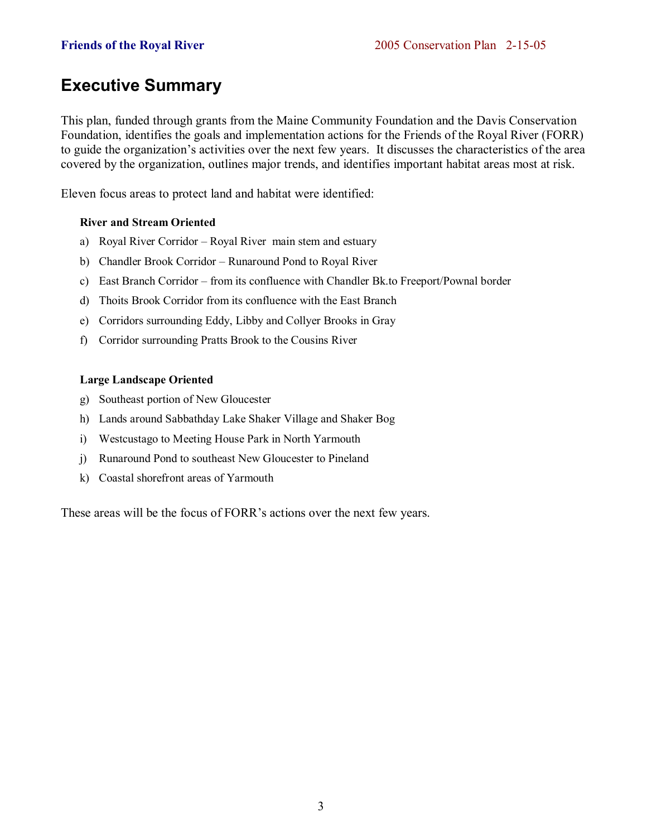# **Executive Summary**

This plan, funded through grants from the Maine Community Foundation and the Davis Conservation Foundation, identifies the goals and implementation actions for the Friends of the Royal River (FORR) to guide the organization's activities over the next few years. It discusses the characteristics of the area covered by the organization, outlines major trends, and identifies important habitat areas most at risk.

Eleven focus areas to protect land and habitat were identified:

# **River and Stream Oriented**

- a) Royal River Corridor Royal River main stem and estuary
- b) Chandler Brook Corridor Runaround Pond to Royal River
- c) East Branch Corridor from its confluence with Chandler Bk.to Freeport/Pownal border
- d) Thoits Brook Corridor from its confluence with the East Branch
- e) Corridors surrounding Eddy, Libby and Collyer Brooks in Gray
- f) Corridor surrounding Pratts Brook to the Cousins River

# **Large Landscape Oriented**

- g) Southeast portion of New Gloucester
- h) Lands around Sabbathday Lake Shaker Village and Shaker Bog
- i) Westcustago to Meeting House Park in North Yarmouth
- j) Runaround Pond to southeast New Gloucester to Pineland
- k) Coastal shorefront areas of Yarmouth

These areas will be the focus of FORR's actions over the next few years.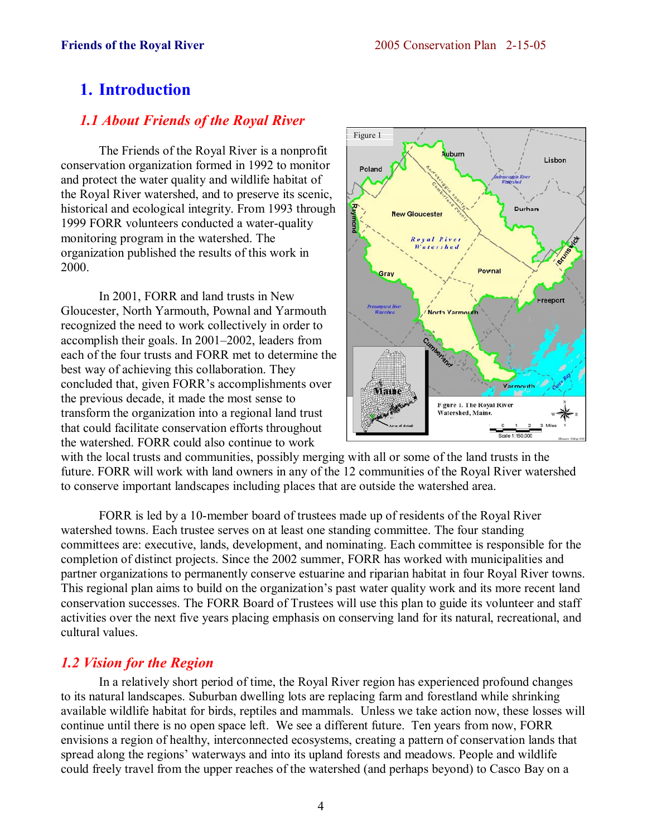# **1. Introduction**

# *1.1 About Friends of the Royal River*

 The Friends of the Royal River is a nonprofit conservation organization formed in 1992 to monitor and protect the water quality and wildlife habitat of the Royal River watershed, and to preserve its scenic, historical and ecological integrity. From 1993 through 1999 FORR volunteers conducted a water-quality monitoring program in the watershed. The organization published the results of this work in 2000.

 In 2001, FORR and land trusts in New Gloucester, North Yarmouth, Pownal and Yarmouth recognized the need to work collectively in order to accomplish their goals. In  $2001-2002$ , leaders from each of the four trusts and FORR met to determine the best way of achieving this collaboration. They concluded that, given FORR's accomplishments over the previous decade, it made the most sense to transform the organization into a regional land trust that could facilitate conservation efforts throughout the watershed. FORR could also continue to work



with the local trusts and communities, possibly merging with all or some of the land trusts in the future. FORR will work with land owners in any of the 12 communities of the Royal River watershed to conserve important landscapes including places that are outside the watershed area.

 FORR is led by a 10-member board of trustees made up of residents of the Royal River watershed towns. Each trustee serves on at least one standing committee. The four standing committees are: executive, lands, development, and nominating. Each committee is responsible for the completion of distinct projects. Since the 2002 summer, FORR has worked with municipalities and partner organizations to permanently conserve estuarine and riparian habitat in four Royal River towns. This regional plan aims to build on the organization's past water quality work and its more recent land conservation successes. The FORR Board of Trustees will use this plan to guide its volunteer and staff activities over the next five years placing emphasis on conserving land for its natural, recreational, and cultural values.

# *1.2 Vision for the Region*

 In a relatively short period of time, the Royal River region has experienced profound changes to its natural landscapes. Suburban dwelling lots are replacing farm and forestland while shrinking available wildlife habitat for birds, reptiles and mammals. Unless we take action now, these losses will continue until there is no open space left. We see a different future. Ten years from now, FORR envisions a region of healthy, interconnected ecosystems, creating a pattern of conservation lands that spread along the regions' waterways and into its upland forests and meadows. People and wildlife could freely travel from the upper reaches of the watershed (and perhaps beyond) to Casco Bay on a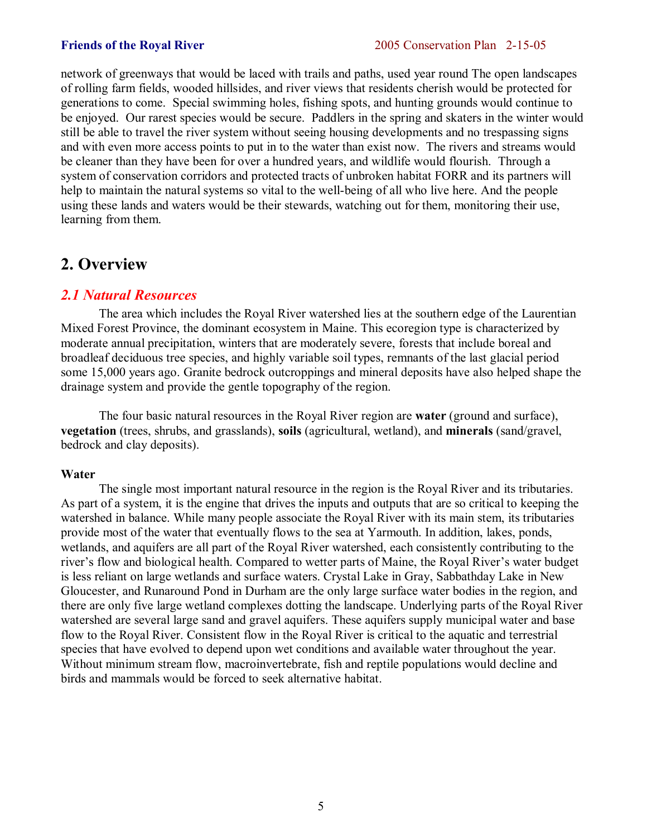network of greenways that would be laced with trails and paths, used year round The open landscapes of rolling farm fields, wooded hillsides, and river views that residents cherish would be protected for generations to come. Special swimming holes, fishing spots, and hunting grounds would continue to be enjoyed. Our rarest species would be secure. Paddlers in the spring and skaters in the winter would still be able to travel the river system without seeing housing developments and no trespassing signs and with even more access points to put in to the water than exist now. The rivers and streams would be cleaner than they have been for over a hundred years, and wildlife would flourish. Through a system of conservation corridors and protected tracts of unbroken habitat FORR and its partners will help to maintain the natural systems so vital to the well-being of all who live here. And the people using these lands and waters would be their stewards, watching out for them, monitoring their use, learning from them.

# **2. Overview**

# *2.1 Natural Resources*

 The area which includes the Royal River watershed lies at the southern edge of the Laurentian Mixed Forest Province, the dominant ecosystem in Maine. This ecoregion type is characterized by moderate annual precipitation, winters that are moderately severe, forests that include boreal and broadleaf deciduous tree species, and highly variable soil types, remnants of the last glacial period some 15,000 years ago. Granite bedrock outcroppings and mineral deposits have also helped shape the drainage system and provide the gentle topography of the region.

 The four basic natural resources in the Royal River region are **water** (ground and surface), **vegetation** (trees, shrubs, and grasslands), **soils** (agricultural, wetland), and **minerals** (sand/gravel, bedrock and clay deposits).

# **Water**

 The single most important natural resource in the region is the Royal River and its tributaries. As part of a system, it is the engine that drives the inputs and outputs that are so critical to keeping the watershed in balance. While many people associate the Royal River with its main stem, its tributaries provide most of the water that eventually flows to the sea at Yarmouth. In addition, lakes, ponds, wetlands, and aquifers are all part of the Royal River watershed, each consistently contributing to the river's flow and biological health. Compared to wetter parts of Maine, the Royal River's water budget is less reliant on large wetlands and surface waters. Crystal Lake in Gray, Sabbathday Lake in New Gloucester, and Runaround Pond in Durham are the only large surface water bodies in the region, and there are only five large wetland complexes dotting the landscape. Underlying parts of the Royal River watershed are several large sand and gravel aquifers. These aquifers supply municipal water and base flow to the Royal River. Consistent flow in the Royal River is critical to the aquatic and terrestrial species that have evolved to depend upon wet conditions and available water throughout the year. Without minimum stream flow, macroinvertebrate, fish and reptile populations would decline and birds and mammals would be forced to seek alternative habitat.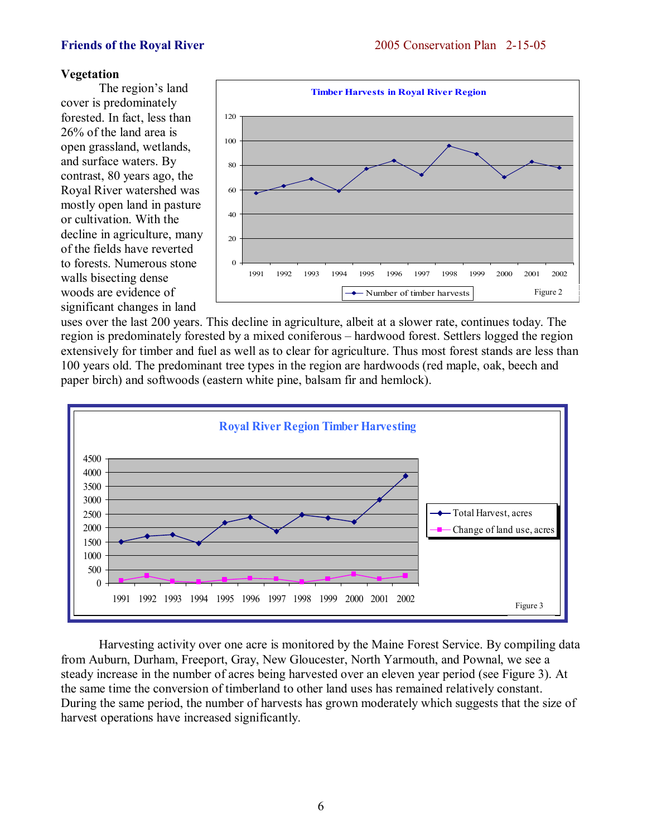# **Vegetation**

The region's land cover is predominately forested. In fact, less than 26% of the land area is open grassland, wetlands, and surface waters. By contrast, 80 years ago, the Royal River watershed was mostly open land in pasture or cultivation. With the decline in agriculture, many of the fields have reverted to forests. Numerous stone walls bisecting dense woods are evidence of significant changes in land



uses over the last 200 years. This decline in agriculture, albeit at a slower rate, continues today. The region is predominately forested by a mixed coniferous – hardwood forest. Settlers logged the region extensively for timber and fuel as well as to clear for agriculture. Thus most forest stands are less than 100 years old. The predominant tree types in the region are hardwoods (red maple, oak, beech and paper birch) and softwoods (eastern white pine, balsam fir and hemlock).



 Harvesting activity over one acre is monitored by the Maine Forest Service. By compiling data from Auburn, Durham, Freeport, Gray, New Gloucester, North Yarmouth, and Pownal, we see a steady increase in the number of acres being harvested over an eleven year period (see Figure 3). At the same time the conversion of timberland to other land uses has remained relatively constant. During the same period, the number of harvests has grown moderately which suggests that the size of harvest operations have increased significantly.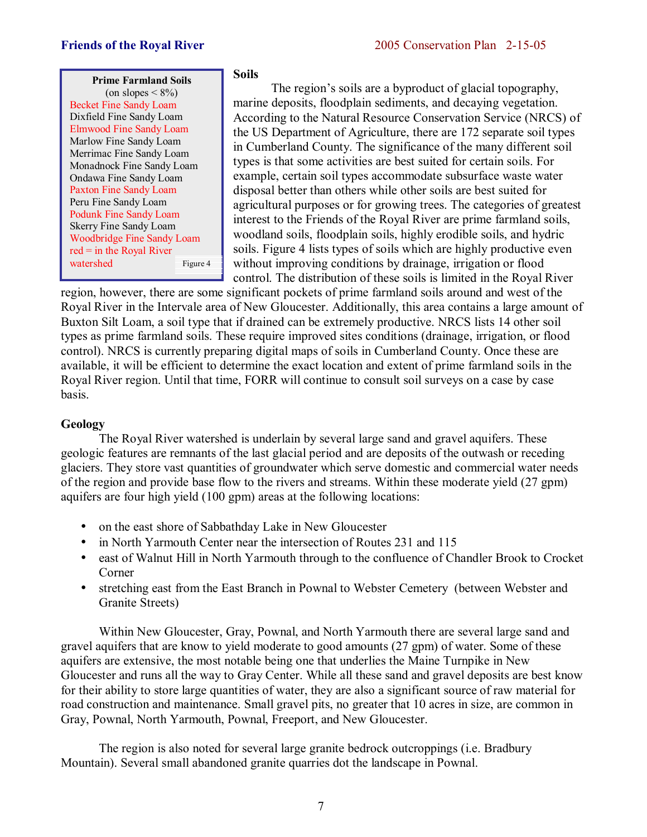

# **Soils**

The region's soils are a byproduct of glacial topography. marine deposits, floodplain sediments, and decaying vegetation. According to the Natural Resource Conservation Service (NRCS) of the US Department of Agriculture, there are 172 separate soil types in Cumberland County. The significance of the many different soil types is that some activities are best suited for certain soils. For example, certain soil types accommodate subsurface waste water disposal better than others while other soils are best suited for agricultural purposes or for growing trees. The categories of greatest interest to the Friends of the Royal River are prime farmland soils, woodland soils, floodplain soils, highly erodible soils, and hydric soils. Figure 4 lists types of soils which are highly productive even without improving conditions by drainage, irrigation or flood control. The distribution of these soils is limited in the Royal River

region, however, there are some significant pockets of prime farmland soils around and west of the Royal River in the Intervale area of New Gloucester. Additionally, this area contains a large amount of Buxton Silt Loam, a soil type that if drained can be extremely productive. NRCS lists 14 other soil types as prime farmland soils. These require improved sites conditions (drainage, irrigation, or flood control). NRCS is currently preparing digital maps of soils in Cumberland County. Once these are available, it will be efficient to determine the exact location and extent of prime farmland soils in the Royal River region. Until that time, FORR will continue to consult soil surveys on a case by case basis.

# **Geology**

 The Royal River watershed is underlain by several large sand and gravel aquifers. These geologic features are remnants of the last glacial period and are deposits of the outwash or receding glaciers. They store vast quantities of groundwater which serve domestic and commercial water needs of the region and provide base flow to the rivers and streams. Within these moderate yield (27 gpm) aquifers are four high yield (100 gpm) areas at the following locations:

- on the east shore of Sabbathday Lake in New Gloucester
- in North Yarmouth Center near the intersection of Routes 231 and 115
- east of Walnut Hill in North Yarmouth through to the confluence of Chandler Brook to Crocket Corner
- stretching east from the East Branch in Pownal to Webster Cemetery (between Webster and Granite Streets)

 Within New Gloucester, Gray, Pownal, and North Yarmouth there are several large sand and gravel aquifers that are know to yield moderate to good amounts (27 gpm) of water. Some of these aquifers are extensive, the most notable being one that underlies the Maine Turnpike in New Gloucester and runs all the way to Gray Center. While all these sand and gravel deposits are best know for their ability to store large quantities of water, they are also a significant source of raw material for road construction and maintenance. Small gravel pits, no greater that 10 acres in size, are common in Gray, Pownal, North Yarmouth, Pownal, Freeport, and New Gloucester.

 The region is also noted for several large granite bedrock outcroppings (i.e. Bradbury Mountain). Several small abandoned granite quarries dot the landscape in Pownal.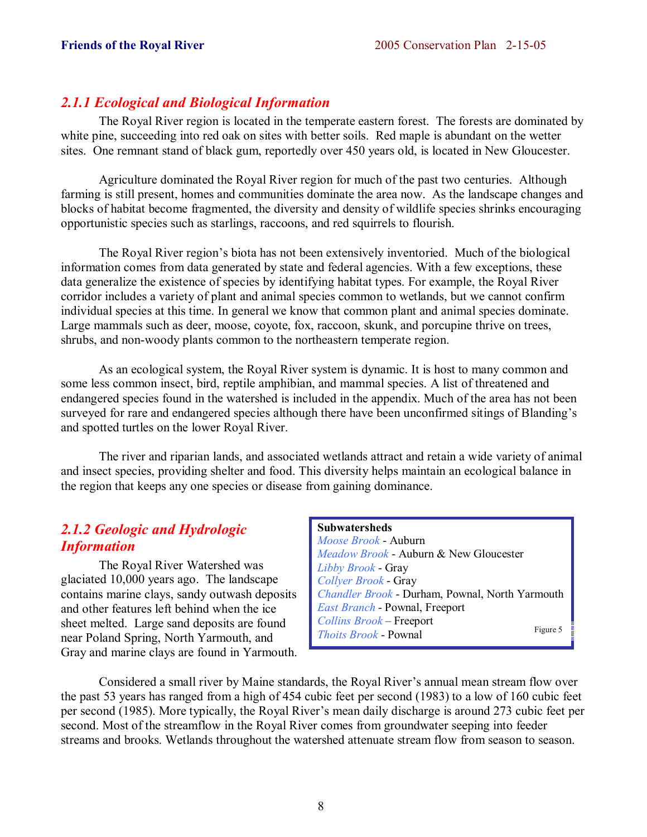# *2.1.1 Ecological and Biological Information*

 The Royal River region is located in the temperate eastern forest. The forests are dominated by white pine, succeeding into red oak on sites with better soils. Red maple is abundant on the wetter sites. One remnant stand of black gum, reportedly over 450 years old, is located in New Gloucester.

 Agriculture dominated the Royal River region for much of the past two centuries. Although farming is still present, homes and communities dominate the area now. As the landscape changes and blocks of habitat become fragmented, the diversity and density of wildlife species shrinks encouraging opportunistic species such as starlings, raccoons, and red squirrels to flourish.

The Royal River region's biota has not been extensively inventoried. Much of the biological information comes from data generated by state and federal agencies. With a few exceptions, these data generalize the existence of species by identifying habitat types. For example, the Royal River corridor includes a variety of plant and animal species common to wetlands, but we cannot confirm individual species at this time. In general we know that common plant and animal species dominate. Large mammals such as deer, moose, coyote, fox, raccoon, skunk, and porcupine thrive on trees, shrubs, and non-woody plants common to the northeastern temperate region.

 As an ecological system, the Royal River system is dynamic. It is host to many common and some less common insect, bird, reptile amphibian, and mammal species. A list of threatened and endangered species found in the watershed is included in the appendix. Much of the area has not been surveyed for rare and endangered species although there have been unconfirmed sitings of Blanding's and spotted turtles on the lower Royal River.

 The river and riparian lands, and associated wetlands attract and retain a wide variety of animal and insect species, providing shelter and food. This diversity helps maintain an ecological balance in the region that keeps any one species or disease from gaining dominance.

# *2.1.2 Geologic and Hydrologic Information*

 The Royal River Watershed was glaciated 10,000 years ago. The landscape contains marine clays, sandy outwash deposits and other features left behind when the ice sheet melted. Large sand deposits are found near Poland Spring, North Yarmouth, and Gray and marine clays are found in Yarmouth.

# **Subwatersheds**

*Moose Brook* - Auburn *Meadow Brook* - Auburn & New Gloucester *Libby Brook* - Gray *Collyer Brook* - Gray *Chandler Brook* - Durham, Pownal, North Yarmouth *East Branch* - Pownal, Freeport *Collins Brook* – Freeport *Thoits Brook* - Pownal Figure 5

Considered a small river by Maine standards, the Royal River's annual mean stream flow over the past 53 years has ranged from a high of 454 cubic feet per second (1983) to a low of 160 cubic feet per second (1985). More typically, the Royal River's mean daily discharge is around 273 cubic feet per second. Most of the streamflow in the Royal River comes from groundwater seeping into feeder streams and brooks. Wetlands throughout the watershed attenuate stream flow from season to season.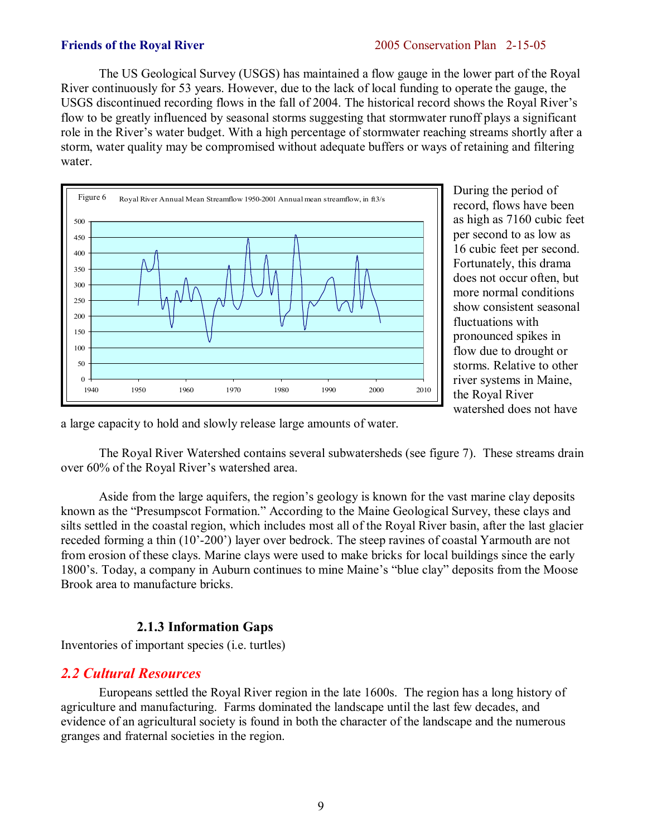The US Geological Survey (USGS) has maintained a flow gauge in the lower part of the Royal River continuously for 53 years. However, due to the lack of local funding to operate the gauge, the USGS discontinued recording flows in the fall of 2004. The historical record shows the Royal River's flow to be greatly influenced by seasonal storms suggesting that stormwater runoff plays a significant role in the River's water budget. With a high percentage of stormwater reaching streams shortly after a storm, water quality may be compromised without adequate buffers or ways of retaining and filtering water.



During the period of record, flows have been as high as 7160 cubic feet per second to as low as 16 cubic feet per second. Fortunately, this drama does not occur often, but more normal conditions show consistent seasonal fluctuations with pronounced spikes in flow due to drought or storms. Relative to other river systems in Maine, the Royal River watershed does not have

a large capacity to hold and slowly release large amounts of water.

 The Royal River Watershed contains several subwatersheds (see figure 7). These streams drain over 60% of the Royal River's watershed area.

Aside from the large aquifers, the region's geology is known for the vast marine clay deposits known as the "Presumpscot Formation." According to the Maine Geological Survey, these clays and silts settled in the coastal region, which includes most all of the Royal River basin, after the last glacier receded forming a thin (10<sup>'</sup>-200<sup>'</sup>) layer over bedrock. The steep ravines of coastal Yarmouth are not from erosion of these clays. Marine clays were used to make bricks for local buildings since the early 1800's. Today, a company in Auburn continues to mine Maine's "blue clay" deposits from the Moose Brook area to manufacture bricks.

# **2.1.3 Information Gaps**

Inventories of important species (i.e. turtles)

# *2.2 Cultural Resources*

 Europeans settled the Royal River region in the late 1600s. The region has a long history of agriculture and manufacturing. Farms dominated the landscape until the last few decades, and evidence of an agricultural society is found in both the character of the landscape and the numerous granges and fraternal societies in the region.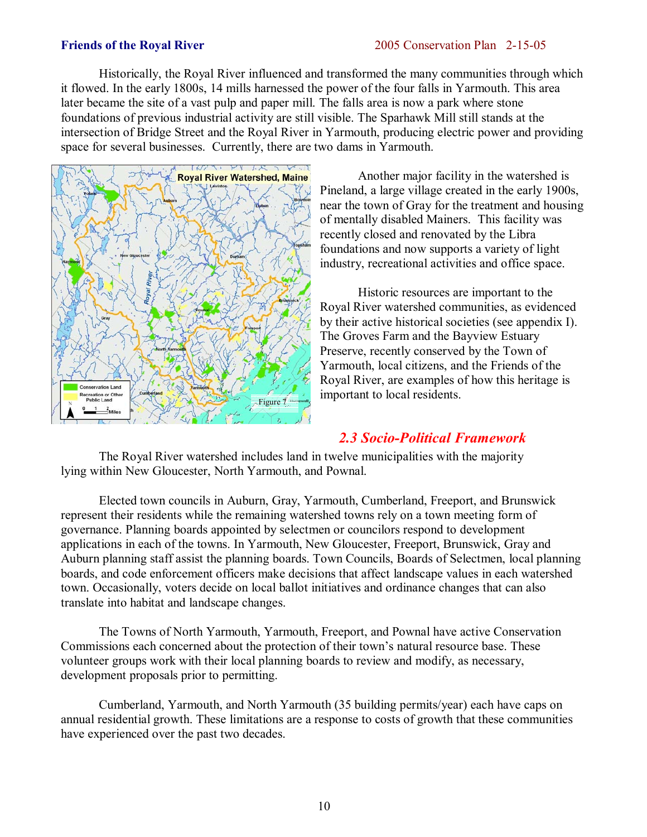Historically, the Royal River influenced and transformed the many communities through which it flowed. In the early 1800s, 14 mills harnessed the power of the four falls in Yarmouth. This area later became the site of a vast pulp and paper mill. The falls area is now a park where stone foundations of previous industrial activity are still visible. The Sparhawk Mill still stands at the intersection of Bridge Street and the Royal River in Yarmouth, producing electric power and providing space for several businesses. Currently, there are two dams in Yarmouth.



 Another major facility in the watershed is Pineland, a large village created in the early 1900s, near the town of Gray for the treatment and housing of mentally disabled Mainers. This facility was recently closed and renovated by the Libra foundations and now supports a variety of light industry, recreational activities and office space.

 Historic resources are important to the Royal River watershed communities, as evidenced by their active historical societies (see appendix I). The Groves Farm and the Bayview Estuary Preserve, recently conserved by the Town of Yarmouth, local citizens, and the Friends of the Royal River, are examples of how this heritage is important to local residents.

# *2.3 Socio-Political Framework*

 The Royal River watershed includes land in twelve municipalities with the majority lying within New Gloucester, North Yarmouth, and Pownal.

 Elected town councils in Auburn, Gray, Yarmouth, Cumberland, Freeport, and Brunswick represent their residents while the remaining watershed towns rely on a town meeting form of governance. Planning boards appointed by selectmen or councilors respond to development applications in each of the towns. In Yarmouth, New Gloucester, Freeport, Brunswick, Gray and Auburn planning staff assist the planning boards. Town Councils, Boards of Selectmen, local planning boards, and code enforcement officers make decisions that affect landscape values in each watershed town. Occasionally, voters decide on local ballot initiatives and ordinance changes that can also translate into habitat and landscape changes.

 The Towns of North Yarmouth, Yarmouth, Freeport, and Pownal have active Conservation Commissions each concerned about the protection of their town's natural resource base. These volunteer groups work with their local planning boards to review and modify, as necessary, development proposals prior to permitting.

 Cumberland, Yarmouth, and North Yarmouth (35 building permits/year) each have caps on annual residential growth. These limitations are a response to costs of growth that these communities have experienced over the past two decades.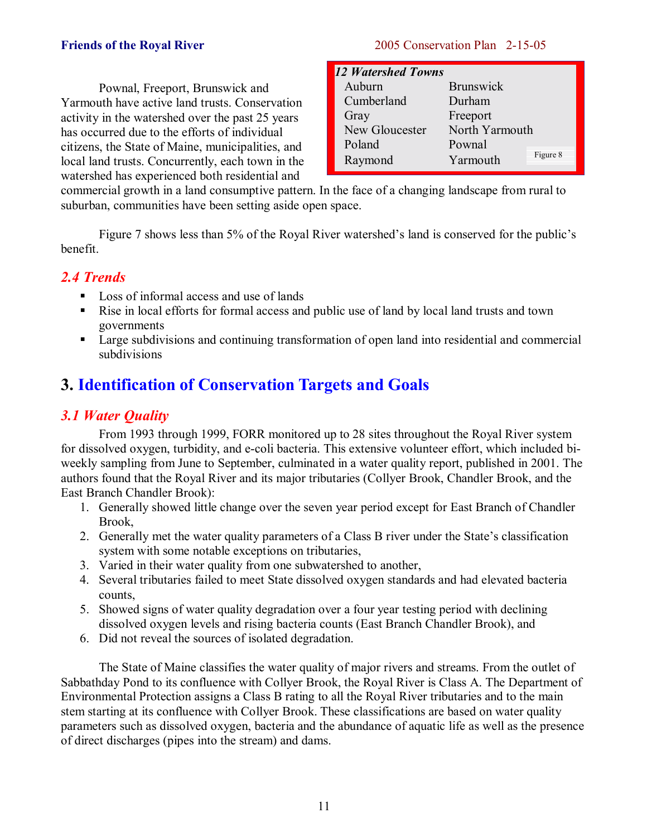Pownal, Freeport, Brunswick and Yarmouth have active land trusts. Conservation activity in the watershed over the past 25 years has occurred due to the efforts of individual citizens, the State of Maine, municipalities, and local land trusts. Concurrently, each town in the watershed has experienced both residential and

# **Friends of the Royal River** 2005 Conservation Plan 2-15-05

| 12 Watershed Towns |                      |
|--------------------|----------------------|
| Auburn             | <b>Brunswick</b>     |
| Cumberland         | Durham               |
| Gray               | Freeport             |
| New Gloucester     | North Yarmouth       |
| Poland             | Pownal               |
| Raymond            | Figure 8<br>Yarmouth |

commercial growth in a land consumptive pattern. In the face of a changing landscape from rural to suburban, communities have been setting aside open space.

Figure 7 shows less than 5% of the Royal River watershed's land is conserved for the public's benefit.

# *2.4 Trends*

- Loss of informal access and use of lands
- ! Rise in local efforts for formal access and public use of land by local land trusts and town governments
- **Example 1** Large subdivisions and continuing transformation of open land into residential and commercial subdivisions

# **3. Identification of Conservation Targets and Goals**

# *3.1 Water Quality*

 From 1993 through 1999, FORR monitored up to 28 sites throughout the Royal River system for dissolved oxygen, turbidity, and e-coli bacteria. This extensive volunteer effort, which included biweekly sampling from June to September, culminated in a water quality report, published in 2001. The authors found that the Royal River and its major tributaries (Collyer Brook, Chandler Brook, and the East Branch Chandler Brook):

- 1. Generally showed little change over the seven year period except for East Branch of Chandler Brook,
- 2. Generally met the water quality parameters of a Class B river under the State's classification system with some notable exceptions on tributaries,
- 3. Varied in their water quality from one subwatershed to another,
- 4. Several tributaries failed to meet State dissolved oxygen standards and had elevated bacteria counts,
- 5. Showed signs of water quality degradation over a four year testing period with declining dissolved oxygen levels and rising bacteria counts (East Branch Chandler Brook), and
- 6. Did not reveal the sources of isolated degradation.

 The State of Maine classifies the water quality of major rivers and streams. From the outlet of Sabbathday Pond to its confluence with Collyer Brook, the Royal River is Class A. The Department of Environmental Protection assigns a Class B rating to all the Royal River tributaries and to the main stem starting at its confluence with Collyer Brook. These classifications are based on water quality parameters such as dissolved oxygen, bacteria and the abundance of aquatic life as well as the presence of direct discharges (pipes into the stream) and dams.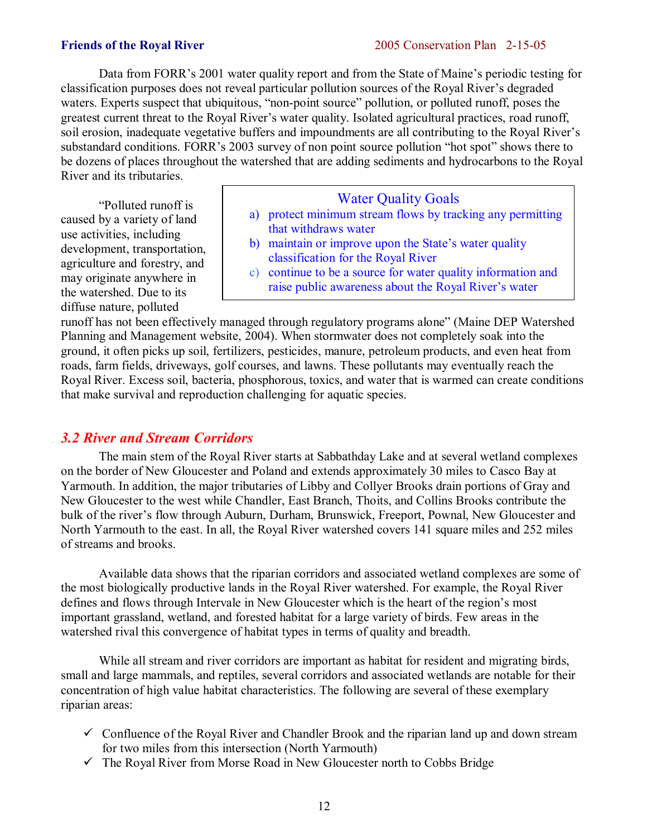Data from FORR's 2001 water quality report and from the State of Maine's periodic testing for classification purposes does not reveal particular pollution sources of the Royal River's degraded waters. Experts suspect that ubiquitous, "non-point source" pollution, or polluted runoff, poses the greatest current threat to the Royal River's water quality. Isolated agricultural practices, road runoff, soil erosion, inadequate vegetative buffers and impoundments are all contributing to the Royal River's substandard conditions. FORR's 2003 survey of non point source pollution "hot spot" shows there to be dozens of places throughout the watershed that are adding sediments and hydrocarbons to the Royal River and its tributaries.

 ìPolluted runoff is caused by a variety of land use activities, including development, transportation, agriculture and forestry, and may originate anywhere in the watershed. Due to its diffuse nature, polluted

# Water Quality Goals

- a) protect minimum stream flows by tracking any permitting that withdraws water
- b) maintain or improve upon the State's water quality classification for the Royal River
- c) continue to be a source for water quality information and raise public awareness about the Royal River's water

runoff has not been effectively managed through regulatory programs alone" (Maine DEP Watershed Planning and Management website, 2004). When stormwater does not completely soak into the ground, it often picks up soil, fertilizers, pesticides, manure, petroleum products, and even heat from roads, farm fields, driveways, golf courses, and lawns. These pollutants may eventually reach the Royal River. Excess soil, bacteria, phosphorous, toxics, and water that is warmed can create conditions that make survival and reproduction challenging for aquatic species.

# *3.2 River and Stream Corridors*

 The main stem of the Royal River starts at Sabbathday Lake and at several wetland complexes on the border of New Gloucester and Poland and extends approximately 30 miles to Casco Bay at Yarmouth. In addition, the major tributaries of Libby and Collyer Brooks drain portions of Gray and New Gloucester to the west while Chandler, East Branch, Thoits, and Collins Brooks contribute the bulk of the river's flow through Auburn, Durham, Brunswick, Freeport, Pownal, New Gloucester and North Yarmouth to the east. In all, the Royal River watershed covers 141 square miles and 252 miles of streams and brooks.

 Available data shows that the riparian corridors and associated wetland complexes are some of the most biologically productive lands in the Royal River watershed. For example, the Royal River defines and flows through Intervale in New Gloucester which is the heart of the region's most important grassland, wetland, and forested habitat for a large variety of birds. Few areas in the watershed rival this convergence of habitat types in terms of quality and breadth.

 While all stream and river corridors are important as habitat for resident and migrating birds, small and large mammals, and reptiles, several corridors and associated wetlands are notable for their concentration of high value habitat characteristics. The following are several of these exemplary riparian areas:

- $\checkmark$  Confluence of the Royal River and Chandler Brook and the riparian land up and down stream for two miles from this intersection (North Yarmouth)
- $\checkmark$  The Royal River from Morse Road in New Gloucester north to Cobbs Bridge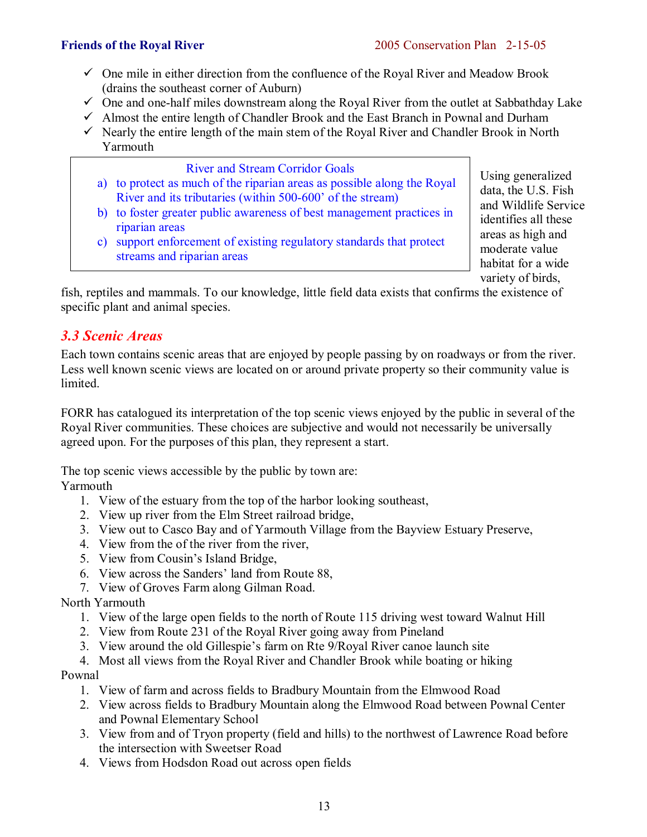- $\checkmark$  One mile in either direction from the confluence of the Royal River and Meadow Brook (drains the southeast corner of Auburn)
- $\checkmark$  One and one-half miles downstream along the Royal River from the outlet at Sabbathday Lake
- $\checkmark$  Almost the entire length of Chandler Brook and the East Branch in Pownal and Durham
- $\checkmark$  Nearly the entire length of the main stem of the Royal River and Chandler Brook in North Yarmouth



variety of birds,

fish, reptiles and mammals. To our knowledge, little field data exists that confirms the existence of specific plant and animal species.

# *3.3 Scenic Areas*

Each town contains scenic areas that are enjoyed by people passing by on roadways or from the river. Less well known scenic views are located on or around private property so their community value is limited.

FORR has catalogued its interpretation of the top scenic views enjoyed by the public in several of the Royal River communities. These choices are subjective and would not necessarily be universally agreed upon. For the purposes of this plan, they represent a start.

The top scenic views accessible by the public by town are: Yarmouth

- 1. View of the estuary from the top of the harbor looking southeast,
- 2. View up river from the Elm Street railroad bridge,
- 3. View out to Casco Bay and of Yarmouth Village from the Bayview Estuary Preserve,
- 4. View from the of the river from the river,
- 5. View from Cousin's Island Bridge,
- 6. View across the Sanders' land from Route 88,
- 7. View of Groves Farm along Gilman Road.

North Yarmouth

- 1. View of the large open fields to the north of Route 115 driving west toward Walnut Hill
- 2. View from Route 231 of the Royal River going away from Pineland
- 3. View around the old Gillespie's farm on Rte 9/Royal River canoe launch site
- 4. Most all views from the Royal River and Chandler Brook while boating or hiking

Pownal

- 1. View of farm and across fields to Bradbury Mountain from the Elmwood Road
- 2. View across fields to Bradbury Mountain along the Elmwood Road between Pownal Center and Pownal Elementary School
- 3. View from and of Tryon property (field and hills) to the northwest of Lawrence Road before the intersection with Sweetser Road
- 4. Views from Hodsdon Road out across open fields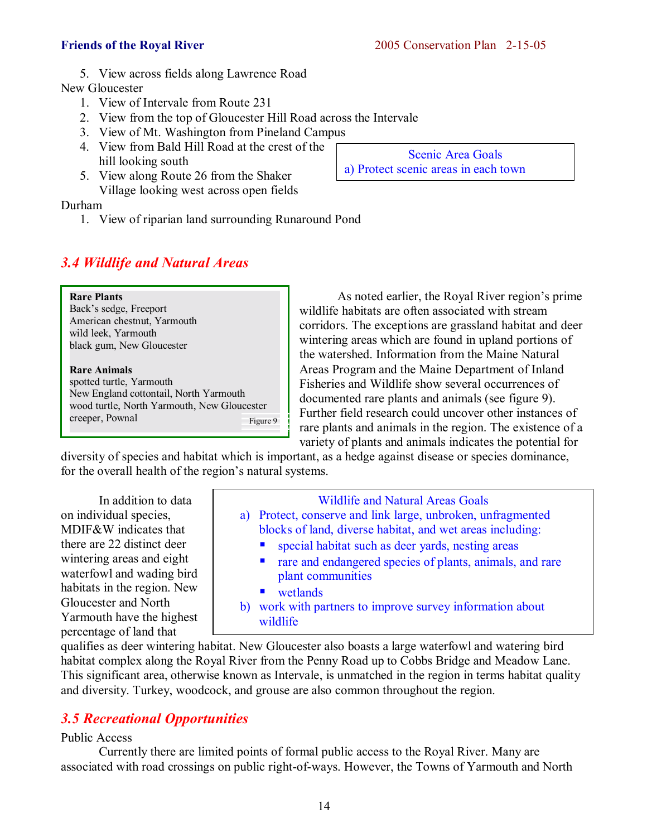5. View across fields along Lawrence Road

New Gloucester

- 1. View of Intervale from Route 231
- 2. View from the top of Gloucester Hill Road across the Intervale
- 3. View of Mt. Washington from Pineland Campus
- 4. View from Bald Hill Road at the crest of the hill looking south
- 5. View along Route 26 from the Shaker Village looking west across open fields

# Durham

1. View of riparian land surrounding Runaround Pond

# *3.4 Wildlife and Natural Areas*

**Rare Plants**  Back's sedge, Freeport American chestnut, Yarmouth wild leek, Yarmouth black gum, New Gloucester

**Rare Animals**  spotted turtle, Yarmouth New England cottontail, North Yarmouth wood turtle, North Yarmouth, New Gloucester creeper, Pownal Figure 9

As noted earlier, the Royal River region's prime wildlife habitats are often associated with stream corridors. The exceptions are grassland habitat and deer wintering areas which are found in upland portions of the watershed. Information from the Maine Natural Areas Program and the Maine Department of Inland Fisheries and Wildlife show several occurrences of documented rare plants and animals (see figure 9). Further field research could uncover other instances of rare plants and animals in the region. The existence of a variety of plants and animals indicates the potential for

diversity of species and habitat which is important, as a hedge against disease or species dominance, for the overall health of the region's natural systems.

 In addition to data on individual species, MDIF&W indicates that there are 22 distinct deer wintering areas and eight waterfowl and wading bird habitats in the region. New Gloucester and North Yarmouth have the highest percentage of land that

Wildlife and Natural Areas Goals a) Protect, conserve and link large, unbroken, unfragmented blocks of land, diverse habitat, and wet areas including: **E** special habitat such as deer yards, nesting areas rare and endangered species of plants, animals, and rare plant communities ■ wetlands

b) work with partners to improve survey information about wildlife

qualifies as deer wintering habitat. New Gloucester also boasts a large waterfowl and watering bird habitat complex along the Royal River from the Penny Road up to Cobbs Bridge and Meadow Lane. This significant area, otherwise known as Intervale, is unmatched in the region in terms habitat quality and diversity. Turkey, woodcock, and grouse are also common throughout the region.

# *3.5 Recreational Opportunities*

# Public Access

 Currently there are limited points of formal public access to the Royal River. Many are associated with road crossings on public right-of-ways. However, the Towns of Yarmouth and North

Scenic Area Goals a) Protect scenic areas in each town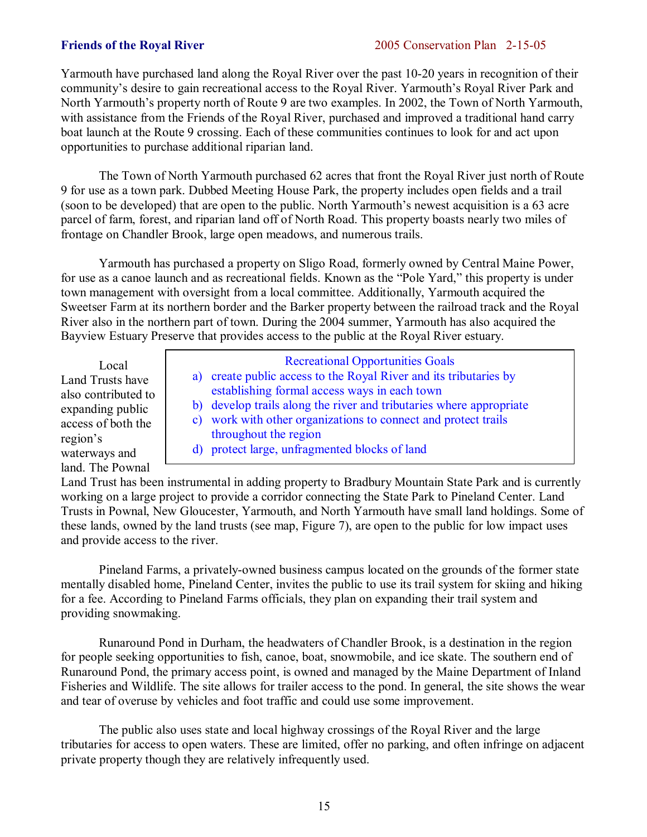Yarmouth have purchased land along the Royal River over the past 10-20 years in recognition of their community's desire to gain recreational access to the Royal River. Yarmouth's Royal River Park and North Yarmouth's property north of Route 9 are two examples. In 2002, the Town of North Yarmouth, with assistance from the Friends of the Royal River, purchased and improved a traditional hand carry boat launch at the Route 9 crossing. Each of these communities continues to look for and act upon opportunities to purchase additional riparian land.

 The Town of North Yarmouth purchased 62 acres that front the Royal River just north of Route 9 for use as a town park. Dubbed Meeting House Park, the property includes open fields and a trail (soon to be developed) that are open to the public. North Yarmouth's newest acquisition is a 63 acre parcel of farm, forest, and riparian land off of North Road. This property boasts nearly two miles of frontage on Chandler Brook, large open meadows, and numerous trails.

 Yarmouth has purchased a property on Sligo Road, formerly owned by Central Maine Power, for use as a canoe launch and as recreational fields. Known as the "Pole Yard," this property is under town management with oversight from a local committee. Additionally, Yarmouth acquired the Sweetser Farm at its northern border and the Barker property between the railroad track and the Royal River also in the northern part of town. During the 2004 summer, Yarmouth has also acquired the Bayview Estuary Preserve that provides access to the public at the Royal River estuary.

 Local Land Trusts have also contributed to expanding public access of both the region's waterways and land. The Pownal

Recreational Opportunities Goals a) create public access to the Royal River and its tributaries by establishing formal access ways in each town b) develop trails along the river and tributaries where appropriate c) work with other organizations to connect and protect trails throughout the region d) protect large, unfragmented blocks of land

Land Trust has been instrumental in adding property to Bradbury Mountain State Park and is currently working on a large project to provide a corridor connecting the State Park to Pineland Center. Land Trusts in Pownal, New Gloucester, Yarmouth, and North Yarmouth have small land holdings. Some of these lands, owned by the land trusts (see map, Figure 7), are open to the public for low impact uses and provide access to the river.

 Pineland Farms, a privately-owned business campus located on the grounds of the former state mentally disabled home, Pineland Center, invites the public to use its trail system for skiing and hiking for a fee. According to Pineland Farms officials, they plan on expanding their trail system and providing snowmaking.

 Runaround Pond in Durham, the headwaters of Chandler Brook, is a destination in the region for people seeking opportunities to fish, canoe, boat, snowmobile, and ice skate. The southern end of Runaround Pond, the primary access point, is owned and managed by the Maine Department of Inland Fisheries and Wildlife. The site allows for trailer access to the pond. In general, the site shows the wear and tear of overuse by vehicles and foot traffic and could use some improvement.

 The public also uses state and local highway crossings of the Royal River and the large tributaries for access to open waters. These are limited, offer no parking, and often infringe on adjacent private property though they are relatively infrequently used.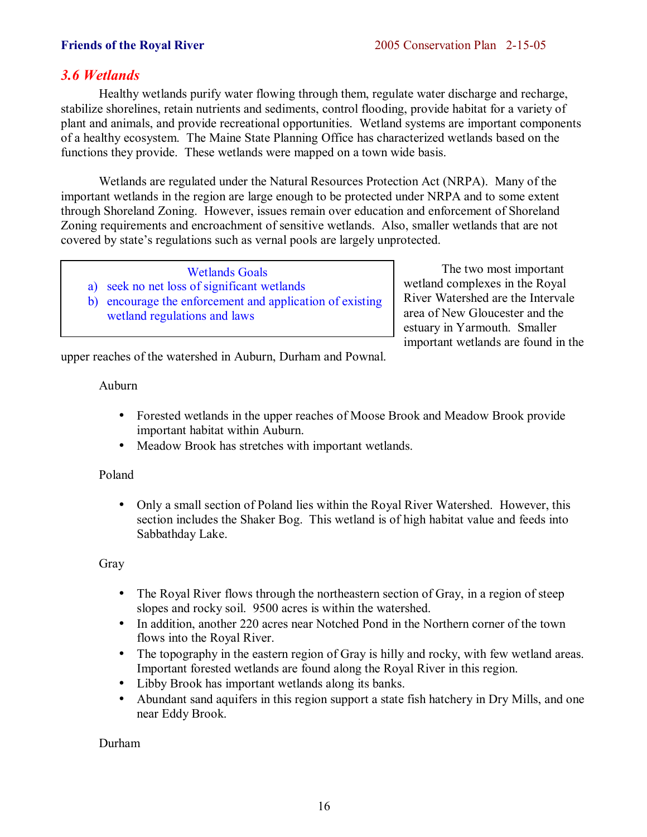# *3.6 Wetlands*

Healthy wetlands purify water flowing through them, regulate water discharge and recharge, stabilize shorelines, retain nutrients and sediments, control flooding, provide habitat for a variety of plant and animals, and provide recreational opportunities. Wetland systems are important components of a healthy ecosystem. The Maine State Planning Office has characterized wetlands based on the functions they provide. These wetlands were mapped on a town wide basis.

Wetlands are regulated under the Natural Resources Protection Act (NRPA). Many of the important wetlands in the region are large enough to be protected under NRPA and to some extent through Shoreland Zoning. However, issues remain over education and enforcement of Shoreland Zoning requirements and encroachment of sensitive wetlands. Also, smaller wetlands that are not covered by state's regulations such as vernal pools are largely unprotected.

# Wetlands Goals

- a) seek no net loss of significant wetlands
- b) encourage the enforcement and application of existing wetland regulations and laws

The two most important wetland complexes in the Royal River Watershed are the Intervale area of New Gloucester and the estuary in Yarmouth. Smaller important wetlands are found in the

upper reaches of the watershed in Auburn, Durham and Pownal.

# Auburn

- Forested wetlands in the upper reaches of Moose Brook and Meadow Brook provide important habitat within Auburn.
- Meadow Brook has stretches with important wetlands.

# Poland

• Only a small section of Poland lies within the Royal River Watershed. However, this section includes the Shaker Bog. This wetland is of high habitat value and feeds into Sabbathday Lake.

# Gray

- The Royal River flows through the northeastern section of Gray, in a region of steep slopes and rocky soil. 9500 acres is within the watershed.
- In addition, another 220 acres near Notched Pond in the Northern corner of the town flows into the Royal River.
- The topography in the eastern region of Gray is hilly and rocky, with few wetland areas. Important forested wetlands are found along the Royal River in this region.
- Libby Brook has important wetlands along its banks.
- Abundant sand aquifers in this region support a state fish hatchery in Dry Mills, and one near Eddy Brook.

Durham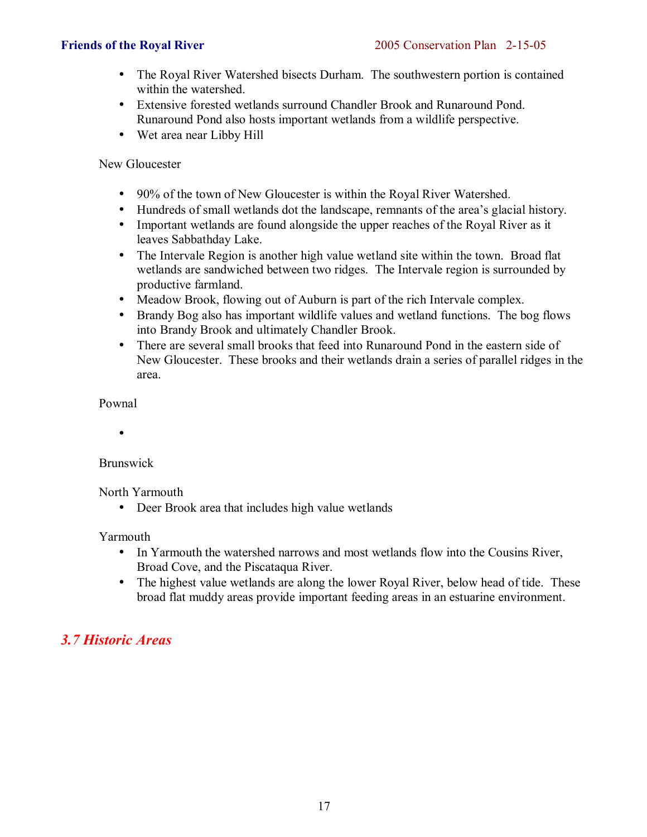- The Royal River Watershed bisects Durham. The southwestern portion is contained within the watershed.
- Extensive forested wetlands surround Chandler Brook and Runaround Pond. Runaround Pond also hosts important wetlands from a wildlife perspective.
- Wet area near Libby Hill

New Gloucester

- 90% of the town of New Gloucester is within the Royal River Watershed.
- Hundreds of small wetlands dot the landscape, remnants of the area's glacial history.
- Important wetlands are found alongside the upper reaches of the Royal River as it leaves Sabbathday Lake.
- The Intervale Region is another high value wetland site within the town. Broad flat wetlands are sandwiched between two ridges. The Intervale region is surrounded by productive farmland.
- Meadow Brook, flowing out of Auburn is part of the rich Intervale complex.
- Brandy Bog also has important wildlife values and wetland functions. The bog flows into Brandy Brook and ultimately Chandler Brook.
- There are several small brooks that feed into Runaround Pond in the eastern side of New Gloucester. These brooks and their wetlands drain a series of parallel ridges in the area.

Pownal

•

Brunswick

North Yarmouth

• Deer Brook area that includes high value wetlands

Yarmouth

- In Yarmouth the watershed narrows and most wetlands flow into the Cousins River, Broad Cove, and the Piscataqua River.
- The highest value wetlands are along the lower Royal River, below head of tide. These broad flat muddy areas provide important feeding areas in an estuarine environment.

# *3.7 Historic Areas*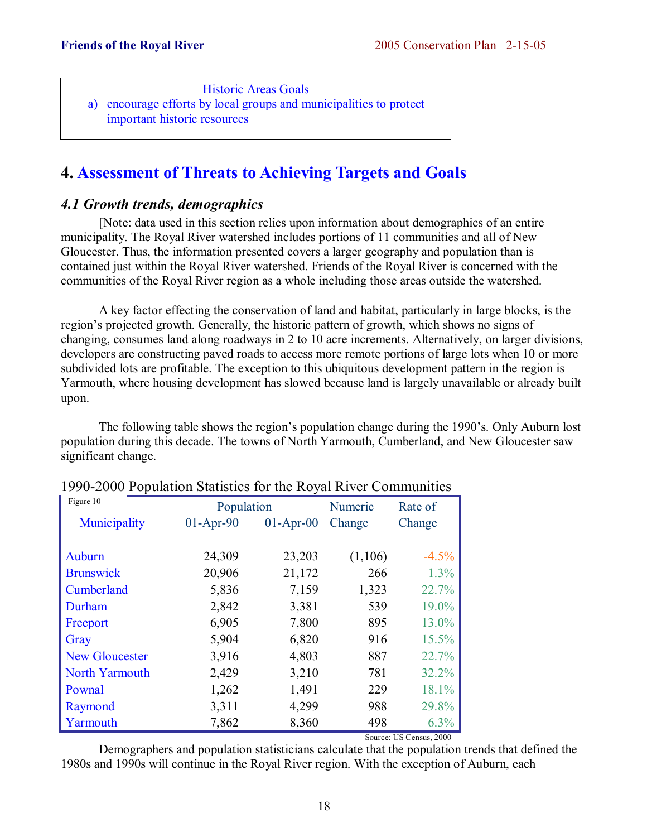Historic Areas Goals a) encourage efforts by local groups and municipalities to protect important historic resources

# **4. Assessment of Threats to Achieving Targets and Goals**

# *4.1 Growth trends, demographics*

 [Note: data used in this section relies upon information about demographics of an entire municipality. The Royal River watershed includes portions of 11 communities and all of New Gloucester. Thus, the information presented covers a larger geography and population than is contained just within the Royal River watershed. Friends of the Royal River is concerned with the communities of the Royal River region as a whole including those areas outside the watershed.

 A key factor effecting the conservation of land and habitat, particularly in large blocks, is the region's projected growth. Generally, the historic pattern of growth, which shows no signs of changing, consumes land along roadways in 2 to 10 acre increments. Alternatively, on larger divisions, developers are constructing paved roads to access more remote portions of large lots when 10 or more subdivided lots are profitable. The exception to this ubiquitous development pattern in the region is Yarmouth, where housing development has slowed because land is largely unavailable or already built upon.

The following table shows the region's population change during the 1990's. Only Auburn lost population during this decade. The towns of North Yarmouth, Cumberland, and New Gloucester saw significant change.

| $1770$ 2000 I Opulation blansity for the KO far Kryer Communities |             |             |         |          |
|-------------------------------------------------------------------|-------------|-------------|---------|----------|
| Figure 10                                                         | Population  |             | Numeric | Rate of  |
| Municipality                                                      | $01-Apr-90$ | $01-Apr-00$ | Change  | Change   |
|                                                                   |             |             |         |          |
| Auburn                                                            | 24,309      | 23,203      | (1,106) | $-4.5%$  |
| <b>Brunswick</b>                                                  | 20,906      | 21,172      | 266     | 1.3%     |
| Cumberland                                                        | 5,836       | 7,159       | 1,323   | 22.7%    |
| Durham                                                            | 2,842       | 3,381       | 539     | 19.0%    |
| Freeport                                                          | 6,905       | 7,800       | 895     | 13.0%    |
| Gray                                                              | 5,904       | 6,820       | 916     | $15.5\%$ |
| <b>New Gloucester</b>                                             | 3,916       | 4,803       | 887     | 22.7%    |
| North Yarmouth                                                    | 2,429       | 3,210       | 781     | 32.2%    |
| Pownal                                                            | 1,262       | 1,491       | 229     | 18.1%    |
| Raymond                                                           | 3,311       | 4,299       | 988     | 29.8%    |
| Yarmouth                                                          | 7,862       | 8,360       | 498     | 6.3%     |
|                                                                   |             |             |         |          |

# 1990-2000 Population Statistics for the Royal River Communities

Source: US Census, 2000

 Demographers and population statisticians calculate that the population trends that defined the 1980s and 1990s will continue in the Royal River region. With the exception of Auburn, each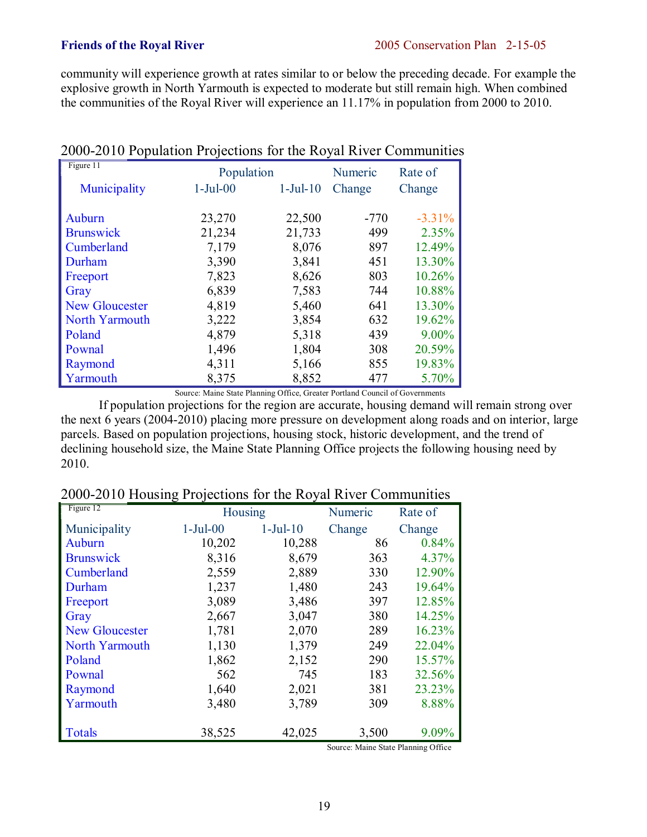community will experience growth at rates similar to or below the preceding decade. For example the explosive growth in North Yarmouth is expected to moderate but still remain high. When combined the communities of the Royal River will experience an 11.17% in population from 2000 to 2010.

| Figure 11             | Population     |           | Numeric | Rate of   |
|-----------------------|----------------|-----------|---------|-----------|
| Municipality          | $1-Ju$ l $-00$ | $1-Ju-10$ | Change  | Change    |
|                       |                |           |         |           |
| Auburn                | 23,270         | 22,500    | $-770$  | $-3.31\%$ |
| <b>Brunswick</b>      | 21,234         | 21,733    | 499     | 2.35%     |
| Cumberland            | 7,179          | 8,076     | 897     | 12.49%    |
| Durham                | 3,390          | 3,841     | 451     | 13.30%    |
| Freeport              | 7,823          | 8,626     | 803     | 10.26%    |
| Gray                  | 6,839          | 7,583     | 744     | 10.88%    |
| <b>New Gloucester</b> | 4,819          | 5,460     | 641     | 13.30%    |
| North Yarmouth        | 3,222          | 3,854     | 632     | 19.62%    |
| Poland                | 4,879          | 5,318     | 439     | 9.00%     |
| Pownal                | 1,496          | 1,804     | 308     | 20.59%    |
| Raymond               | 4,311          | 5,166     | 855     | 19.83%    |
| Yarmouth              | 8,375          | 8,852     | 477     | 5.70%     |

# 2000-2010 Population Projections for the Royal River Communities

Source: Maine State Planning Office, Greater Portland Council of Governments

 If population projections for the region are accurate, housing demand will remain strong over the next 6 years (2004-2010) placing more pressure on development along roads and on interior, large parcels. Based on population projections, housing stock, historic development, and the trend of declining household size, the Maine State Planning Office projects the following housing need by 2010.

# 2000-2010 Housing Projections for the Royal River Communities

| Figure 12             | Housing        |           | Numeric | Rate of |
|-----------------------|----------------|-----------|---------|---------|
| Municipality          | $1-Ju$ l $-00$ | $1-Ju-10$ | Change  | Change  |
| Auburn                | 10,202         | 10,288    | 86      | 0.84%   |
| <b>Brunswick</b>      | 8,316          | 8,679     | 363     | 4.37%   |
| Cumberland            | 2,559          | 2,889     | 330     | 12.90%  |
| Durham                | 1,237          | 1,480     | 243     | 19.64%  |
| Freeport              | 3,089          | 3,486     | 397     | 12.85%  |
| Gray                  | 2,667          | 3,047     | 380     | 14.25%  |
| <b>New Gloucester</b> | 1,781          | 2,070     | 289     | 16.23%  |
| North Yarmouth        | 1,130          | 1,379     | 249     | 22.04%  |
| Poland                | 1,862          | 2,152     | 290     | 15.57%  |
| Pownal                | 562            | 745       | 183     | 32.56%  |
| Raymond               | 1,640          | 2,021     | 381     | 23.23%  |
| Yarmouth              | 3,480          | 3,789     | 309     | 8.88%   |
| <b>Totals</b>         | 38,525         | 42,025    | 3,500   | 9.09%   |

Source: Maine State Planning Office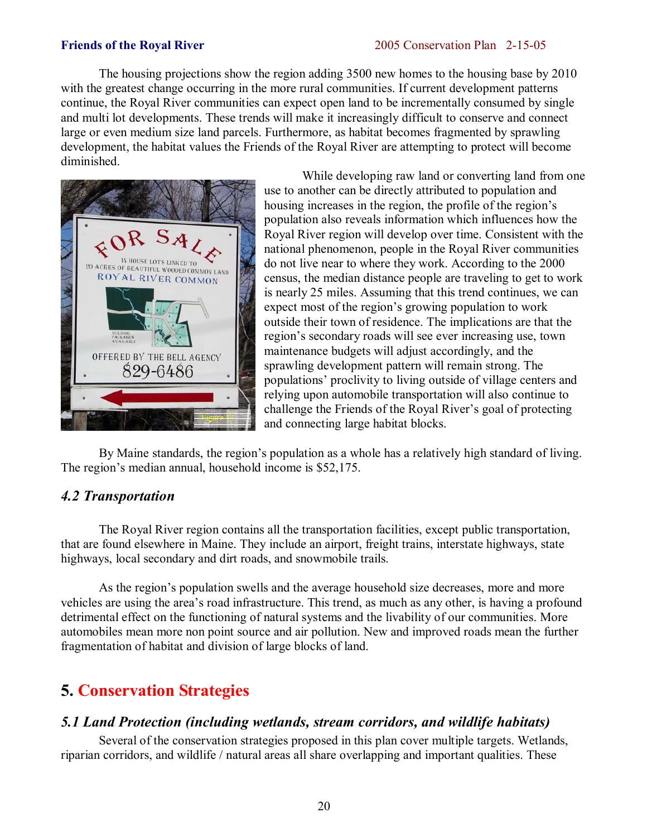The housing projections show the region adding 3500 new homes to the housing base by 2010 with the greatest change occurring in the more rural communities. If current development patterns continue, the Royal River communities can expect open land to be incrementally consumed by single and multi lot developments. These trends will make it increasingly difficult to conserve and connect large or even medium size land parcels. Furthermore, as habitat becomes fragmented by sprawling development, the habitat values the Friends of the Royal River are attempting to protect will become diminished.



 While developing raw land or converting land from one use to another can be directly attributed to population and housing increases in the region, the profile of the region's population also reveals information which influences how the Royal River region will develop over time. Consistent with the national phenomenon, people in the Royal River communities do not live near to where they work. According to the 2000 census, the median distance people are traveling to get to work is nearly 25 miles. Assuming that this trend continues, we can expect most of the region's growing population to work outside their town of residence. The implications are that the region's secondary roads will see ever increasing use, town maintenance budgets will adjust accordingly, and the sprawling development pattern will remain strong. The populations' proclivity to living outside of village centers and relying upon automobile transportation will also continue to challenge the Friends of the Royal River's goal of protecting and connecting large habitat blocks.

By Maine standards, the region's population as a whole has a relatively high standard of living. The region's median annual, household income is \$52,175.

# *4.2 Transportation*

 The Royal River region contains all the transportation facilities, except public transportation, that are found elsewhere in Maine. They include an airport, freight trains, interstate highways, state highways, local secondary and dirt roads, and snowmobile trails.

As the region's population swells and the average household size decreases, more and more vehicles are using the areaís road infrastructure. This trend, as much as any other, is having a profound detrimental effect on the functioning of natural systems and the livability of our communities. More automobiles mean more non point source and air pollution. New and improved roads mean the further fragmentation of habitat and division of large blocks of land.

# **5. Conservation Strategies**

# *5.1 Land Protection (including wetlands, stream corridors, and wildlife habitats)*

 Several of the conservation strategies proposed in this plan cover multiple targets. Wetlands, riparian corridors, and wildlife / natural areas all share overlapping and important qualities. These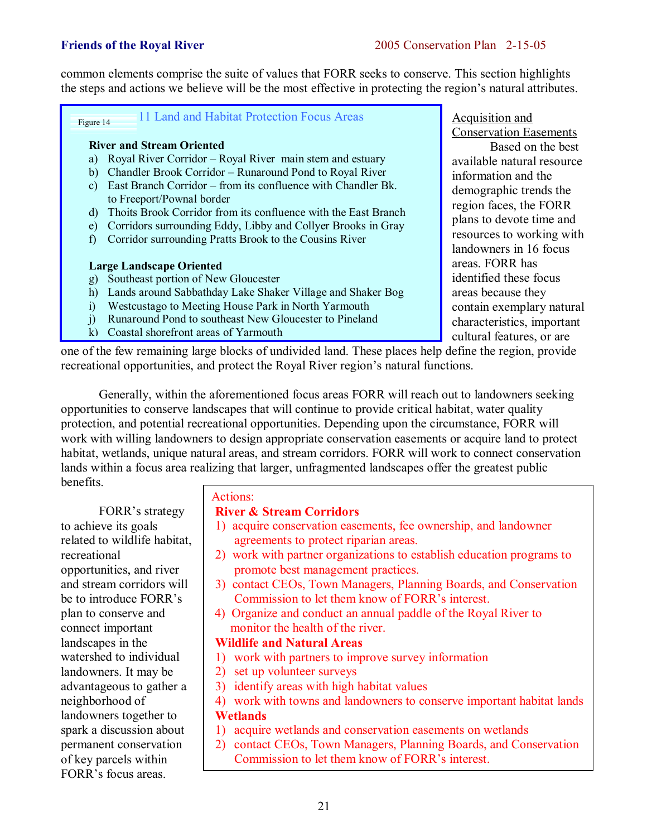common elements comprise the suite of values that FORR seeks to conserve. This section highlights the steps and actions we believe will be the most effective in protecting the region's natural attributes.

11 Land and Habitat Protection Focus Areas Figure 14

# **River and Stream Oriented**

- a) Royal River Corridor Royal River main stem and estuary
- b) Chandler Brook Corridor Runaround Pond to Royal River
- c) East Branch Corridor from its confluence with Chandler Bk. to Freeport/Pownal border
- d) Thoits Brook Corridor from its confluence with the East Branch
- e) Corridors surrounding Eddy, Libby and Collyer Brooks in Gray
- f) Corridor surrounding Pratts Brook to the Cousins River

# **Large Landscape Oriented**

- g) Southeast portion of New Gloucester
- h) Lands around Sabbathday Lake Shaker Village and Shaker Bog
- i) Westcustago to Meeting House Park in North Yarmouth
- j) Runaround Pond to southeast New Gloucester to Pineland
- k) Coastal shorefront areas of Yarmouth

Acquisition and Conservation Easements Based on the best available natural resource information and the demographic trends the region faces, the FORR plans to devote time and resources to working with landowners in 16 focus areas. FORR has identified these focus areas because they contain exemplary natural characteristics, important cultural features, or are

one of the few remaining large blocks of undivided land. These places help define the region, provide recreational opportunities, and protect the Royal River region's natural functions.

 Generally, within the aforementioned focus areas FORR will reach out to landowners seeking opportunities to conserve landscapes that will continue to provide critical habitat, water quality protection, and potential recreational opportunities. Depending upon the circumstance, FORR will work with willing landowners to design appropriate conservation easements or acquire land to protect habitat, wetlands, unique natural areas, and stream corridors. FORR will work to connect conservation lands within a focus area realizing that larger, unfragmented landscapes offer the greatest public benefits.

FORR's strategy to achieve its goals related to wildlife habitat, recreational opportunities, and river and stream corridors will be to introduce FORR's plan to conserve and connect important landscapes in the watershed to individual landowners. It may be advantageous to gather a neighborhood of landowners together to spark a discussion about permanent conservation of key parcels within FORRís focus areas.

# Actions:

# **River & Stream Corridors**

- 1) acquire conservation easements, fee ownership, and landowner agreements to protect riparian areas.
- 2) work with partner organizations to establish education programs to promote best management practices.
- 3) contact CEOs, Town Managers, Planning Boards, and Conservation Commission to let them know of FORR's interest.
- 4) Organize and conduct an annual paddle of the Royal River to monitor the health of the river.

# **Wildlife and Natural Areas**

- 1) work with partners to improve survey information
- 2) set up volunteer surveys
- 3) identify areas with high habitat values
- 4) work with towns and landowners to conserve important habitat lands

# **Wetlands**

- 1) acquire wetlands and conservation easements on wetlands
- 2) contact CEOs, Town Managers, Planning Boards, and Conservation Commission to let them know of FORR's interest.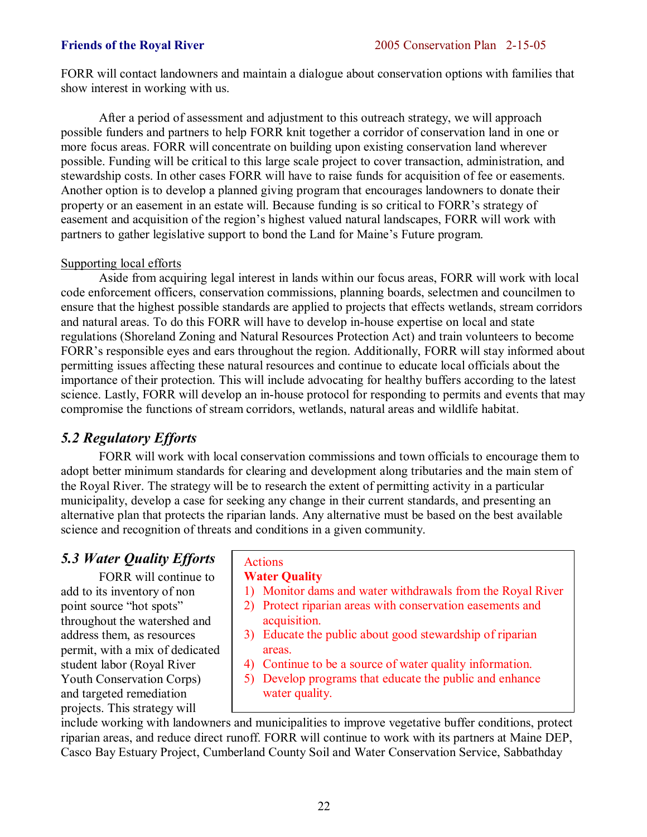FORR will contact landowners and maintain a dialogue about conservation options with families that show interest in working with us.

 After a period of assessment and adjustment to this outreach strategy, we will approach possible funders and partners to help FORR knit together a corridor of conservation land in one or more focus areas. FORR will concentrate on building upon existing conservation land wherever possible. Funding will be critical to this large scale project to cover transaction, administration, and stewardship costs. In other cases FORR will have to raise funds for acquisition of fee or easements. Another option is to develop a planned giving program that encourages landowners to donate their property or an easement in an estate will. Because funding is so critical to FORR's strategy of easement and acquisition of the region's highest valued natural landscapes, FORR will work with partners to gather legislative support to bond the Land for Maine's Future program.

# Supporting local efforts

 Aside from acquiring legal interest in lands within our focus areas, FORR will work with local code enforcement officers, conservation commissions, planning boards, selectmen and councilmen to ensure that the highest possible standards are applied to projects that effects wetlands, stream corridors and natural areas. To do this FORR will have to develop in-house expertise on local and state regulations (Shoreland Zoning and Natural Resources Protection Act) and train volunteers to become FORR's responsible eyes and ears throughout the region. Additionally, FORR will stay informed about permitting issues affecting these natural resources and continue to educate local officials about the importance of their protection. This will include advocating for healthy buffers according to the latest science. Lastly, FORR will develop an in-house protocol for responding to permits and events that may compromise the functions of stream corridors, wetlands, natural areas and wildlife habitat.

# *5.2 Regulatory Efforts*

 FORR will work with local conservation commissions and town officials to encourage them to adopt better minimum standards for clearing and development along tributaries and the main stem of the Royal River. The strategy will be to research the extent of permitting activity in a particular municipality, develop a case for seeking any change in their current standards, and presenting an alternative plan that protects the riparian lands. Any alternative must be based on the best available science and recognition of threats and conditions in a given community.

# *5.3 Water Quality Efforts*

 FORR will continue to add to its inventory of non point source "hot spots" throughout the watershed and address them, as resources permit, with a mix of dedicated student labor (Royal River Youth Conservation Corps) and targeted remediation projects. This strategy will

# Actions

# **Water Quality**

- 1) Monitor dams and water withdrawals from the Royal River
- 2) Protect riparian areas with conservation easements and acquisition.
- 3) Educate the public about good stewardship of riparian areas.
- 4) Continue to be a source of water quality information.
- 5) Develop programs that educate the public and enhance water quality.

include working with landowners and municipalities to improve vegetative buffer conditions, protect riparian areas, and reduce direct runoff. FORR will continue to work with its partners at Maine DEP, Casco Bay Estuary Project, Cumberland County Soil and Water Conservation Service, Sabbathday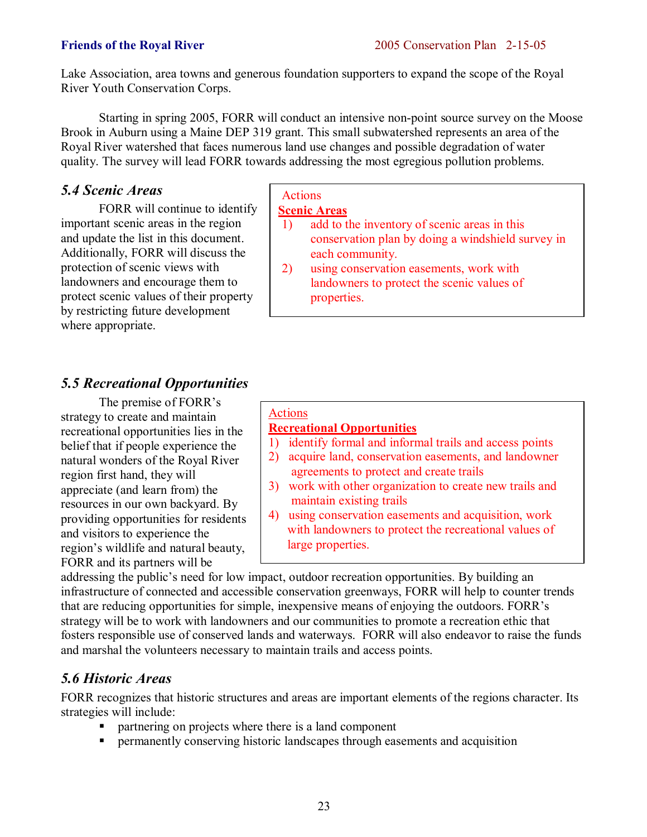Lake Association, area towns and generous foundation supporters to expand the scope of the Royal River Youth Conservation Corps.

 Starting in spring 2005, FORR will conduct an intensive non-point source survey on the Moose Brook in Auburn using a Maine DEP 319 grant. This small subwatershed represents an area of the Royal River watershed that faces numerous land use changes and possible degradation of water quality. The survey will lead FORR towards addressing the most egregious pollution problems.

# *5.4 Scenic Areas*

 FORR will continue to identify important scenic areas in the region and update the list in this document. Additionally, FORR will discuss the protection of scenic views with landowners and encourage them to protect scenic values of their property by restricting future development where appropriate.

# *5.5 Recreational Opportunities*

The premise of FORR's strategy to create and maintain recreational opportunities lies in the belief that if people experience the natural wonders of the Royal River region first hand, they will appreciate (and learn from) the resources in our own backyard. By providing opportunities for residents and visitors to experience the region's wildlife and natural beauty, FORR and its partners will be

# Actions

# **Scenic Areas**

- 1) add to the inventory of scenic areas in this conservation plan by doing a windshield survey in each community.
- 2) using conservation easements, work with landowners to protect the scenic values of properties.

# Actions

# **Recreational Opportunities**

- 1) identify formal and informal trails and access points
- 2) acquire land, conservation easements, and landowner agreements to protect and create trails
- 3) work with other organization to create new trails and maintain existing trails
- 4) using conservation easements and acquisition, work with landowners to protect the recreational values of large properties.

addressing the public's need for low impact, outdoor recreation opportunities. By building an infrastructure of connected and accessible conservation greenways, FORR will help to counter trends that are reducing opportunities for simple, inexpensive means of enjoying the outdoors. FORR's strategy will be to work with landowners and our communities to promote a recreation ethic that fosters responsible use of conserved lands and waterways. FORR will also endeavor to raise the funds and marshal the volunteers necessary to maintain trails and access points.

# *5.6 Historic Areas*

FORR recognizes that historic structures and areas are important elements of the regions character. Its strategies will include:

- partnering on projects where there is a land component
- ! permanently conserving historic landscapes through easements and acquisition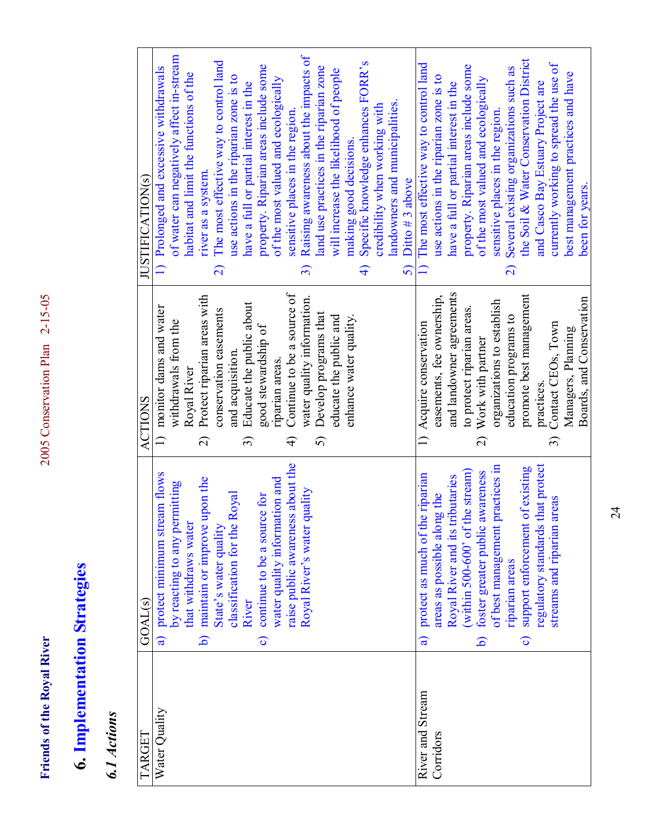Friends of the Royal River

# **6. Implementation Strategies 6. Implementation Strategies**

# 6.1 Actions *6.1 Actions*

| TARGET           | GOAL(s)                                                                                                 | <b>ACTIONS</b>                                                              | JUSTIFICATION(s)                                                                                                             |
|------------------|---------------------------------------------------------------------------------------------------------|-----------------------------------------------------------------------------|------------------------------------------------------------------------------------------------------------------------------|
| Water Quality    | protect minimum stream flows<br>by reacting to any permitting<br>that withdraws water<br>$\overline{a}$ | monitor dams and water<br>withdrawals from the<br>Royal River               | of water can negatively affect in-stream<br>1) Prolonged and excessive withdrawals<br>habitat and limit the functions of the |
|                  | upon the<br>State's water quality<br>maintain or improve<br>$\widehat{\mathbf{d}}$                      | Protect riparian areas with<br>conservation easements<br>$\widehat{\Omega}$ | The most effective way to control land<br>river as a system.<br>$\widehat{\mathcal{L}}$                                      |
|                  | classification for the Royal<br>River                                                                   | Educate the public about<br>and acquisition.<br>$\widehat{\mathfrak{D}}$    | use actions in the riparian zone is to<br>have a full or partial interest in the                                             |
|                  | water quality information and<br>c) continue to be a source for                                         | good stewardship of<br>riparian areas.                                      | property. Riparian areas include some<br>of the most valued and ecologically                                                 |
|                  | raise public awareness about the<br>quality<br>Royal River's water                                      | Continue to be a source of<br>water quality information.<br>F               | Raising awareness about the impacts of<br>sensitive places in the region<br>$\widehat{\mathcal{E}}$                          |
|                  |                                                                                                         | Develop programs that<br>5)                                                 | land use practices in the riparian zone                                                                                      |
|                  |                                                                                                         | enhance water quality.<br>educate the public and                            | will increase the likelihood of people<br>making good decisions.                                                             |
|                  |                                                                                                         |                                                                             | Specific knowledge enhances FORR's<br>$\widehat{+}$                                                                          |
|                  |                                                                                                         |                                                                             | credibility when working with                                                                                                |
|                  |                                                                                                         |                                                                             | landowners and municipalities.                                                                                               |
|                  |                                                                                                         |                                                                             | Ditto $#3$ above<br>$\overline{5}$                                                                                           |
| River and Stream | protect as much of the riparian<br>$\widehat{a}$                                                        | 1) Acquire conservation                                                     | The most effective way to control land<br>$\Box$                                                                             |
| Corridors        | Royal River and its tributaries<br>areas as possible along the                                          | and landowner agreements<br>easements, fee ownership,                       | use actions in the riparian zone is to<br>have a full or partial interest in the                                             |
|                  | (within 500-600' of the stream)                                                                         | to protect riparian areas.                                                  | property. Riparian areas include some                                                                                        |
|                  | awareness<br>foster greater public<br>$\widehat{\mathbf{d}}$                                            | Work with partner<br>$\widehat{\Omega}$                                     | of the most valued and ecologically                                                                                          |
|                  | practices in<br>of best management                                                                      | organizations to establish                                                  | sensitive places in the region.                                                                                              |
|                  | riparian areas                                                                                          | education programs to                                                       | Several existing organizations such as<br>$\widehat{z}$                                                                      |
|                  | support enforcement of existing<br>$\widehat{\mathbf{c}}$                                               | promote best management                                                     | the Soil & Water Conservation District                                                                                       |
|                  | that protect<br>regulatory standards                                                                    | practices.                                                                  | and Casco Bay Estuary Project are                                                                                            |
|                  | areas<br>streams and riparian                                                                           | Contact CEOs, Town<br>$\widehat{\mathcal{E}}$                               | currently working to spread the use of                                                                                       |
|                  |                                                                                                         | Managers, Planning                                                          | best management practices and have                                                                                           |
|                  |                                                                                                         | Boards, and Conservation                                                    | been for years.                                                                                                              |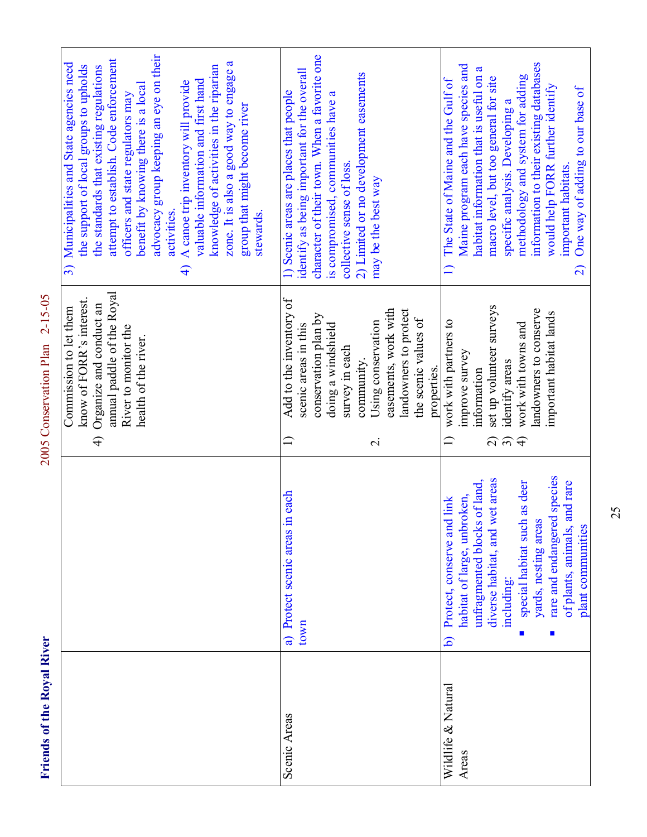| Ĕ<br>J<br>d<br>í                                  |
|---------------------------------------------------|
| $_{0}$ val<br>à<br>֧֧֓֓֓֬֓֓֓֬֓֓֬֓֓֓֬֓֓֓֬֓֓׆֧<br>C |
| the                                               |
| ¢<br>ć                                            |
| nen.<br>i                                         |

2005 Conservation Plan 2-15-05 **Friends of the Royal River** 2005 Conservation Plan 2-15-05

|                    |                                        | know of FORR's interest.<br>Organize and conduct an<br>Commission to let them<br>$\widehat{+}$ | 3) Municipalities and State agencies need<br>the support of local groups to upholds<br>the standards that existing regulations                               |
|--------------------|----------------------------------------|------------------------------------------------------------------------------------------------|--------------------------------------------------------------------------------------------------------------------------------------------------------------|
|                    |                                        | annual paddle of the Royal<br>River to monitor the<br>health of the river.                     | advocacy group keeping an eye on their<br>attempt to establish. Code enforcement<br>benefit by knowing there is a local<br>officers and state regulators may |
|                    |                                        |                                                                                                | A canoe trip inventory will provide<br>activities.<br>$\widehat{+}$                                                                                          |
|                    |                                        |                                                                                                | zone. It is also a good way to engage a<br>knowledge of activities in the riparian<br>valuable information and first hand                                    |
|                    |                                        |                                                                                                | group that might become river<br>stewards.                                                                                                                   |
| Scenic Areas       | n each<br>a) Protect scenic areas      | Add to the inventory of<br>$\widehat{=}$                                                       | 1) Scenic areas are places that people                                                                                                                       |
|                    | town                                   | scenic areas in this                                                                           | identify as being important for the overall                                                                                                                  |
|                    |                                        | conservation plan by                                                                           | character of their town. When a favorite one                                                                                                                 |
|                    |                                        | doing a windshield                                                                             | is compromised, communities have a                                                                                                                           |
|                    |                                        | survey in each                                                                                 | collective sense of loss.                                                                                                                                    |
|                    |                                        | community.                                                                                     | 2) Limited or no development easements                                                                                                                       |
|                    |                                        | Using conservation<br>$\overline{\mathcal{C}}$                                                 | may be the best way                                                                                                                                          |
|                    |                                        | easements, work with                                                                           |                                                                                                                                                              |
|                    |                                        | landowners to protect<br>the scenic values of                                                  |                                                                                                                                                              |
|                    |                                        | properties.                                                                                    |                                                                                                                                                              |
| Wildlife & Natural | Protect, conserve and link<br><u>।</u> | work with partners to<br>$\Box$                                                                | The State of Maine and the Gulf of<br>$\Box$                                                                                                                 |
| Areas              | habitat of large, unbroken,            | improve survey                                                                                 | Maine program each have species and                                                                                                                          |
|                    | unfragmented blocks of land,           | information                                                                                    | habitat information that is useful on a                                                                                                                      |
|                    | diverse habitat, and wet areas         | set up volunteer surveys<br>$\widehat{\mathcal{L}}$                                            | macro level, but too general for site                                                                                                                        |
|                    | including:                             | identify areas<br>$\widehat{\mathfrak{c}}$                                                     | specific analysis. Developing a                                                                                                                              |
|                    | special habitat such as deer           | work with towns and<br>$\widehat{+}$                                                           | methodology and system for adding                                                                                                                            |
|                    | yards, nesting areas                   | andowners to conserve                                                                          | information to their existing databases                                                                                                                      |
|                    | rare and endangered species            | important habitat lands                                                                        | would help FORR further identify                                                                                                                             |
|                    | and rare<br>of plants, animals,        |                                                                                                | important habitats.                                                                                                                                          |
|                    | plant communities                      |                                                                                                | One way of adding to our base of<br>$\Omega$                                                                                                                 |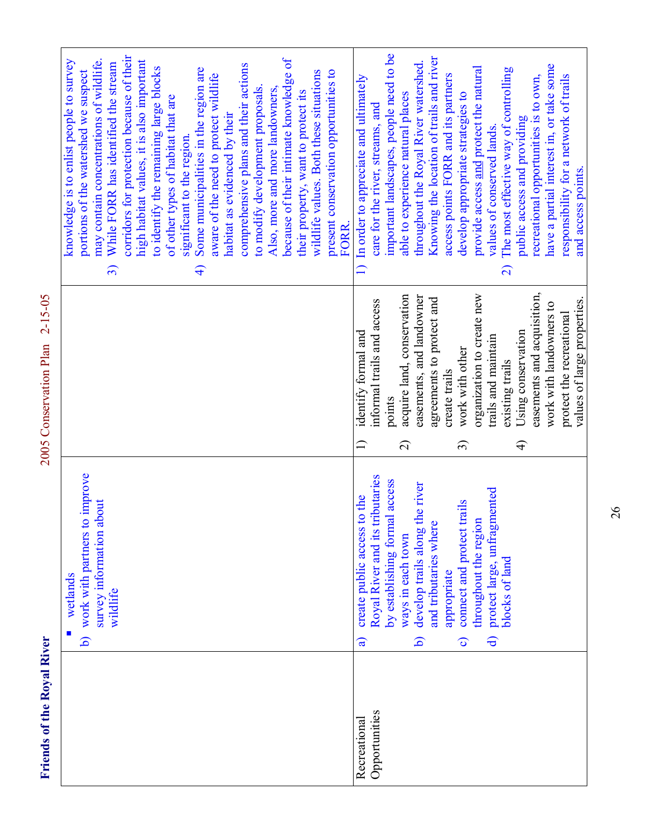Friends of the Royal River

2005 Conservation Plan 2-15-05 **Friends of the Royal River** 2005 Conservation Plan 2-15-05

|                               | work with partners to improve<br>survey information about<br>wetlands<br>wildlife<br>ه                                                                                                                                                                                                                                                                                                          |                                                                                                                                                                                                                                                                                                                                                                                                                                                                                       | corridors for protection because of their<br>because of their intimate knowledge of<br>may contain concentrations of wildlife.<br>knowledge is to enlist people to survey<br>high habitat values, it is also important<br>While FORR has identified the stream<br>comprehensive plans and their actions<br>to identify the remaining large blocks<br>Some municipalities in the region are<br>present conservation opportunities to<br>portions of the watershed we suspect<br>wildlife values. Both these situations<br>aware of the need to protect wildlife<br>to modify development proposals.<br>Also, more and more landowners,<br>their property, want to protect its<br>of other types of habitat that are<br>habitat as evidenced by their<br>significant to the region.<br>FORR.<br>$\widehat{\mathcal{F}}$<br>$\widehat{\mathcal{E}}$ |
|-------------------------------|-------------------------------------------------------------------------------------------------------------------------------------------------------------------------------------------------------------------------------------------------------------------------------------------------------------------------------------------------------------------------------------------------|---------------------------------------------------------------------------------------------------------------------------------------------------------------------------------------------------------------------------------------------------------------------------------------------------------------------------------------------------------------------------------------------------------------------------------------------------------------------------------------|--------------------------------------------------------------------------------------------------------------------------------------------------------------------------------------------------------------------------------------------------------------------------------------------------------------------------------------------------------------------------------------------------------------------------------------------------------------------------------------------------------------------------------------------------------------------------------------------------------------------------------------------------------------------------------------------------------------------------------------------------------------------------------------------------------------------------------------------------|
| Opportunities<br>Recreational | Royal River and its tributaries<br>by establishing formal access<br>the river<br>protect large, unfragmented<br>to the<br>connect and protect trails<br>throughout the region<br>and tributaries where<br>develop trails along<br>create public access<br>ways in each town<br>blocks of land<br>appropriate<br>6<br>$\widehat{\mathbf{d}}$<br>$\widehat{\mathbf{c}}$<br>$\widehat{\mathbf{a}}$ | easements and acquisition,<br>acquire land, conservation<br>organization to create new<br>easements, and landowner<br>agreements to protect and<br>values of large properties.<br>informal trails and access<br>work with landowners to<br>protect the recreational<br>Using conservation<br>identify formal and<br>trails and maintain<br>work with other<br>existing trails<br>create trails<br>points<br>$\widehat{\Omega}$<br>$\Box$<br>$\widehat{\mathfrak{D}}$<br>$\widehat{+}$ | important landscapes, people need to be<br>Knowing the location of trails and river<br>throughout the Royal River watershed.<br>have a partial interest in, or take some<br>provide access and protect the natural<br>The most effective way of controlling<br>recreational opportunities is to own,<br>access points FORR and its partners<br>responsibility for a network of trails<br>In order to appreciate and ultimately<br>able to experience natural places<br>develop appropriate strategies to<br>care for the river, streams, and<br>public access and providing<br>values of conserved lands.<br>and access points.<br>$\Box$<br>$\widehat{\mathcal{L}}$                                                                                                                                                                             |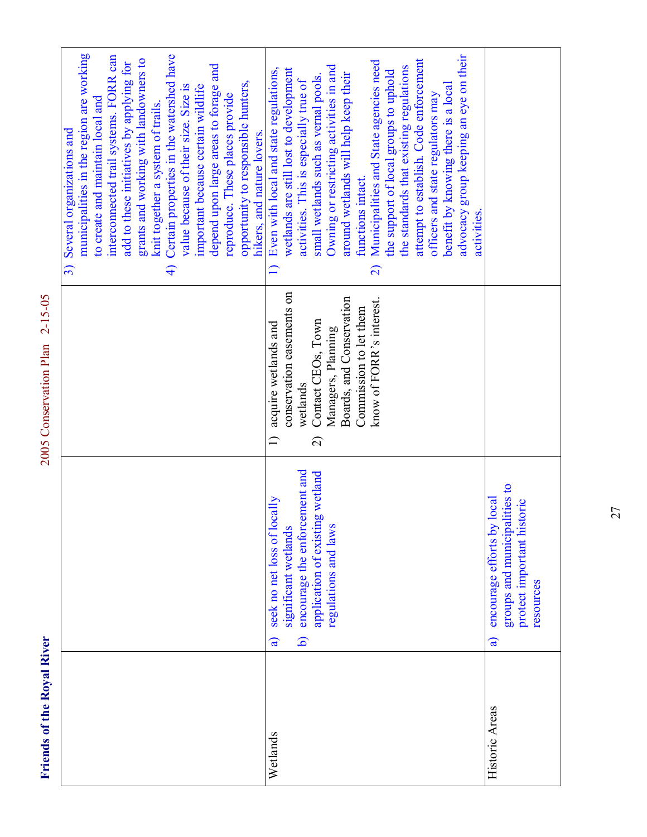Friends of the Royal River

2005 Conservation Plan 2-15-05 **Friends of the Royal River** 2005 Conservation Plan 2-15-05

| municipalities in the region are working<br>Certain properties in the watershed have<br>interconnected trail systems. FORR can<br>grants and working with landowners to<br>add to these initiatives by applying for<br>depend upon large areas to forage and<br>opportunity to responsible hunters,<br>value because of their size. Size is<br>important because certain wildlife<br>reproduce. These places provide<br>to create and maintain local and<br>knit together a system of trails.<br>hikers, and nature lovers.<br>$\widehat{\mathcal{A}}$ | advocacy group keeping an eye on their<br>attempt to establish. Code enforcement<br>Municipalities and State agencies need<br>Owning or restricting activities in and<br>the standards that existing regulations<br>1) Even with local and state regulations,<br>wetlands are still lost to development<br>the support of local groups to uphold<br>around wetlands will help keep their<br>small wetlands such as vernal pools.<br>activities. This is especially true of<br>benefit by knowing there is a local<br>officers and state regulators may<br>functions intact.<br>activities.<br>$\widehat{\mathcal{L}}$<br>conservation easements on<br>Boards, and Conservation<br>know of FORR's interest.<br>Commission to let them<br>Contact CEOs, Town<br>acquire wetlands and<br>Managers, Planning |                                                                                                            |
|--------------------------------------------------------------------------------------------------------------------------------------------------------------------------------------------------------------------------------------------------------------------------------------------------------------------------------------------------------------------------------------------------------------------------------------------------------------------------------------------------------------------------------------------------------|----------------------------------------------------------------------------------------------------------------------------------------------------------------------------------------------------------------------------------------------------------------------------------------------------------------------------------------------------------------------------------------------------------------------------------------------------------------------------------------------------------------------------------------------------------------------------------------------------------------------------------------------------------------------------------------------------------------------------------------------------------------------------------------------------------|------------------------------------------------------------------------------------------------------------|
|                                                                                                                                                                                                                                                                                                                                                                                                                                                                                                                                                        | wetlands<br>$\Box$<br>$\widehat{\mathcal{L}}$                                                                                                                                                                                                                                                                                                                                                                                                                                                                                                                                                                                                                                                                                                                                                            |                                                                                                            |
|                                                                                                                                                                                                                                                                                                                                                                                                                                                                                                                                                        | encourage the enforcement and<br>application of existing wetland<br>seek no net loss of locally<br>significant wetlands<br>regulations and laws<br>$\widehat{\mathbf{p}}$<br>$\widehat{a}$                                                                                                                                                                                                                                                                                                                                                                                                                                                                                                                                                                                                               | groups and municipalities to<br>encourage efforts by local<br>protect important historic<br>resources<br>ಡ |
|                                                                                                                                                                                                                                                                                                                                                                                                                                                                                                                                                        | Wetlands                                                                                                                                                                                                                                                                                                                                                                                                                                                                                                                                                                                                                                                                                                                                                                                                 | Historic Areas                                                                                             |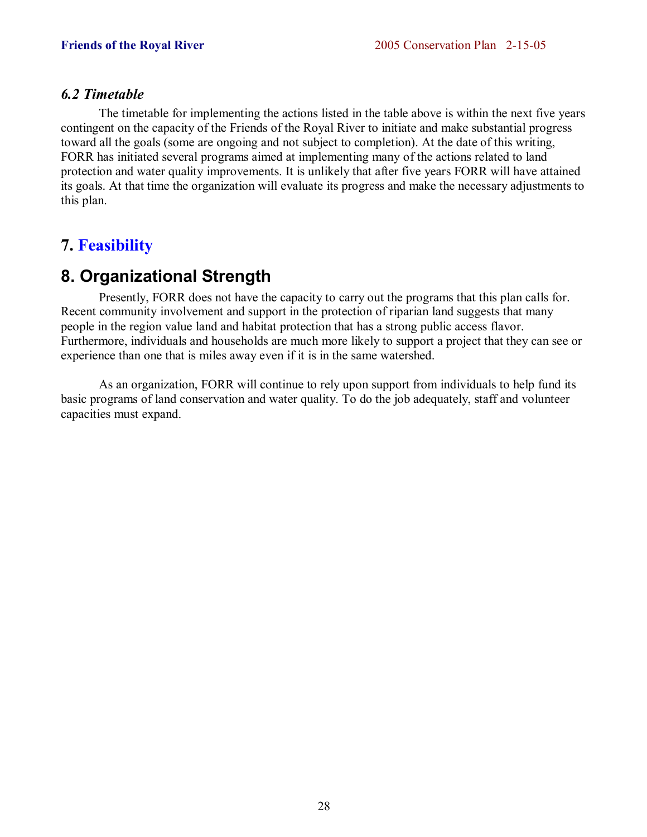# *6.2 Timetable*

 The timetable for implementing the actions listed in the table above is within the next five years contingent on the capacity of the Friends of the Royal River to initiate and make substantial progress toward all the goals (some are ongoing and not subject to completion). At the date of this writing, FORR has initiated several programs aimed at implementing many of the actions related to land protection and water quality improvements. It is unlikely that after five years FORR will have attained its goals. At that time the organization will evaluate its progress and make the necessary adjustments to this plan.

# **7. Feasibility**

# **8. Organizational Strength**

 Presently, FORR does not have the capacity to carry out the programs that this plan calls for. Recent community involvement and support in the protection of riparian land suggests that many people in the region value land and habitat protection that has a strong public access flavor. Furthermore, individuals and households are much more likely to support a project that they can see or experience than one that is miles away even if it is in the same watershed.

 As an organization, FORR will continue to rely upon support from individuals to help fund its basic programs of land conservation and water quality. To do the job adequately, staff and volunteer capacities must expand.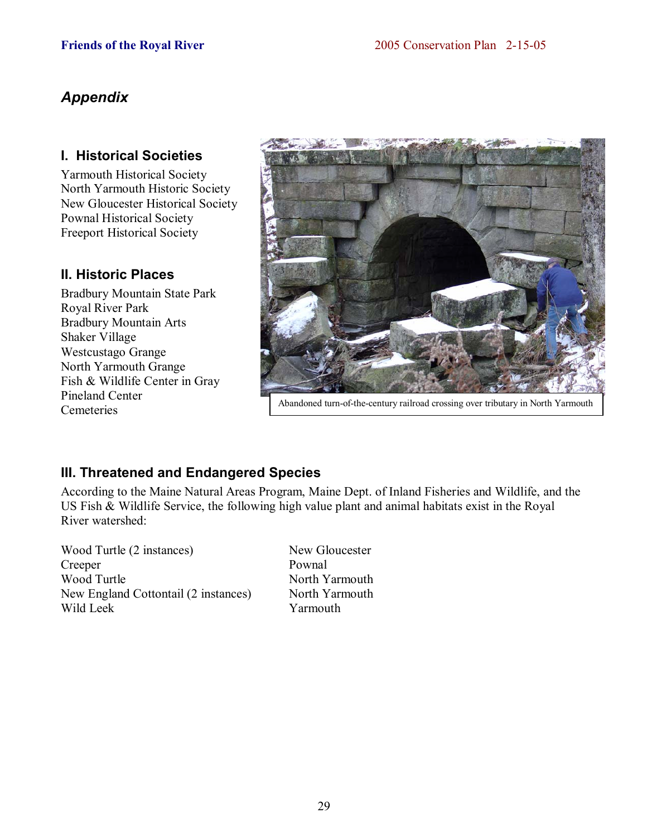# *Appendix*

# **I. Historical Societies**

Yarmouth Historical Society North Yarmouth Historic Society New Gloucester Historical Society Pownal Historical Society Freeport Historical Society

# **II. Historic Places**

Bradbury Mountain State Park Royal River Park Bradbury Mountain Arts Shaker Village Westcustago Grange North Yarmouth Grange Fish & Wildlife Center in Gray Pineland Center Cemeteries



Abandoned turn-of-the-century railroad crossing over tributary in North Yarmouth

# **III. Threatened and Endangered Species**

According to the Maine Natural Areas Program, Maine Dept. of Inland Fisheries and Wildlife, and the US Fish & Wildlife Service, the following high value plant and animal habitats exist in the Royal River watershed:

Wood Turtle (2 instances) New Gloucester Creeper Pownal Wood Turtle North Yarmouth New England Cottontail (2 instances) North Yarmouth Wild Leek Yarmouth